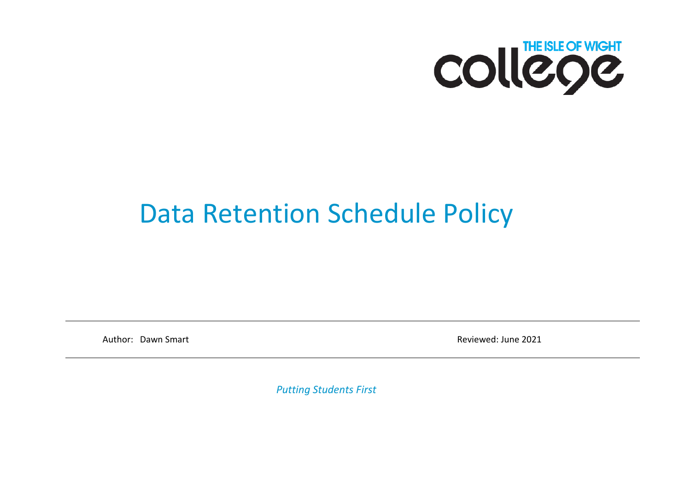

## Data Retention Schedule Policy

Author: Dawn Smart **Reviewed: June 2021** 

*Putting Students First*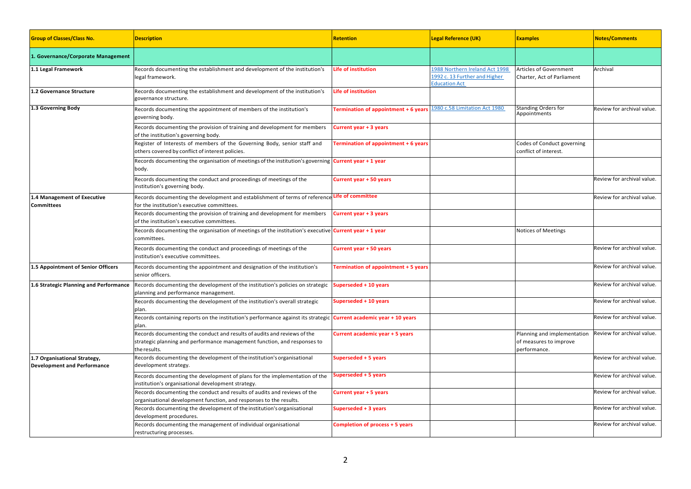| <b>Group of Classes/Class No.</b>                                  | <b>Description</b>                                                                                                                                                   | <b>Retention</b>                     | <b>Legal Reference (UK)</b>                                                             | <b>Examples</b>                                                       | <b>Notes/Comments</b>      |
|--------------------------------------------------------------------|----------------------------------------------------------------------------------------------------------------------------------------------------------------------|--------------------------------------|-----------------------------------------------------------------------------------------|-----------------------------------------------------------------------|----------------------------|
| 1. Governance/Corporate Management                                 |                                                                                                                                                                      |                                      |                                                                                         |                                                                       |                            |
| 1.1 Legal Framework                                                | Records documenting the establishment and development of the institution's<br>legal framework.                                                                       | <b>Life of institution</b>           | 1988 Northern Ireland Act 1998<br>1992 c. 13 Further and Higher<br><b>Education Act</b> | Articles of Government<br>Charter, Act of Parliament                  | Archival                   |
| 1.2 Governance Structure                                           | Records documenting the establishment and development of the institution's<br>governance structure.                                                                  | <b>Life of institution</b>           |                                                                                         |                                                                       |                            |
| 1.3 Governing Body                                                 | Records documenting the appointment of members of the institution's<br>governing body.                                                                               | Termination of appointment + 6 years | 1980 c.58 Limitation Act 1980                                                           | Standing Orders for<br>Appointments                                   | Review for archival value. |
|                                                                    | Records documenting the provision of training and development for members<br>of the institution's governing body.                                                    | Current year + 3 years               |                                                                                         |                                                                       |                            |
|                                                                    | Register of Interests of members of the Governing Body, senior staff and<br>others covered by conflict of interest policies.                                         | Termination of appointment + 6 years |                                                                                         | Codes of Conduct governing<br>conflict of interest.                   |                            |
|                                                                    | Records documenting the organisation of meetings of the institution's governing Current year + 1 year<br>body.                                                       |                                      |                                                                                         |                                                                       |                            |
|                                                                    | Records documenting the conduct and proceedings of meetings of the<br>nstitution's governing body.                                                                   | Current year + 50 years              |                                                                                         |                                                                       | Review for archival value. |
| 1.4 Management of Executive<br><b>Committees</b>                   | Records documenting the development and establishment of terms of reference Life of committee<br>for the institution's executive committees.                         |                                      |                                                                                         |                                                                       | Review for archival value. |
|                                                                    | Records documenting the provision of training and development for members<br>of the institution's executive committees.                                              | Current year + 3 years               |                                                                                         |                                                                       |                            |
|                                                                    | Records documenting the organisation of meetings of the institution's executive <b>Current year + 1 year</b><br>committees.                                          |                                      |                                                                                         | Notices of Meetings                                                   |                            |
|                                                                    | Records documenting the conduct and proceedings of meetings of the<br>institution's executive committees.                                                            | Current year + 50 years              |                                                                                         |                                                                       | Review for archival value. |
| 1.5 Appointment of Senior Officers                                 | Records documenting the appointment and designation of the institution's<br>senior officers.                                                                         | Termination of appointment + 5 years |                                                                                         |                                                                       | Review for archival value. |
| 1.6 Strategic Planning and Performance                             | Records documenting the development of the institution's policies on strategic<br>planning and performance management.                                               | Superseded + 10 years                |                                                                                         |                                                                       | Review for archival value. |
|                                                                    | Records documenting the development of the institution's overall strategic<br>plan.                                                                                  | Superseded + 10 years                |                                                                                         |                                                                       | Review for archival value. |
|                                                                    | Records containing reports on the institution's performance against its strategic <b>Current academic year + 10 years</b><br>plan.                                   |                                      |                                                                                         |                                                                       | Review for archival value. |
|                                                                    | Records documenting the conduct and results of audits and reviews of the<br>strategic planning and performance management function, and responses to<br>the results. | Current academic year + 5 years      |                                                                                         | Planning and implementation<br>of measures to improve<br>performance. | Review for archival value. |
| 1.7 Organisational Strategy,<br><b>Development and Performance</b> | Records documenting the development of the institution's organisational<br>development strategy.                                                                     | Superseded + 5 years                 |                                                                                         |                                                                       | Review for archival value. |
|                                                                    | Records documenting the development of plans for the implementation of the<br>nstitution's organisational development strategy.                                      | superseded + 5 years                 |                                                                                         |                                                                       | Review for archival value. |
|                                                                    | Records documenting the conduct and results of audits and reviews of the<br>organisational development function, and responses to the results.                       | Current year + 5 years               |                                                                                         |                                                                       | Review for archival value. |
|                                                                    | Records documenting the development of the institution's organisational<br>development procedures.                                                                   | Superseded + 3 years                 |                                                                                         |                                                                       | Review for archival value. |
|                                                                    | Records documenting the management of individual organisational<br>restructuring processes.                                                                          | Completion of process + 5 years      |                                                                                         |                                                                       | Review for archival value. |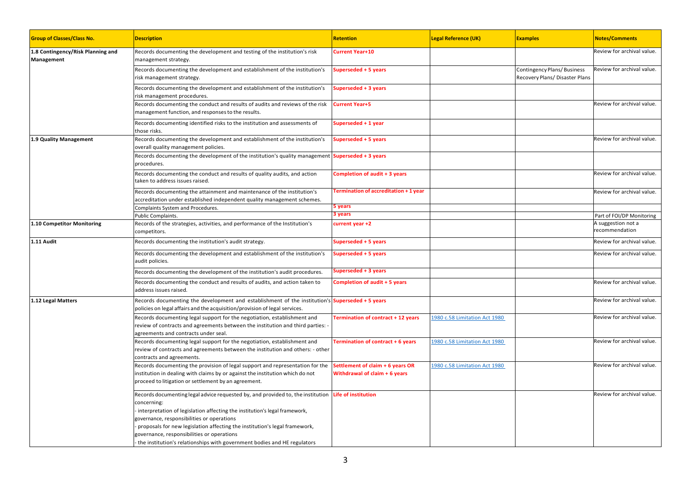| <b>Group of Classes/Class No.</b>               | <b>Description</b>                                                                                                                                                                                                                                                                                                                                                                                                                                     | <b>Retention</b>                                                  | <b>Legal Reference (UK)</b>   | <b>Examples</b>                                              | <b>Notes/Comments</b>                |
|-------------------------------------------------|--------------------------------------------------------------------------------------------------------------------------------------------------------------------------------------------------------------------------------------------------------------------------------------------------------------------------------------------------------------------------------------------------------------------------------------------------------|-------------------------------------------------------------------|-------------------------------|--------------------------------------------------------------|--------------------------------------|
| 1.8 Contingency/Risk Planning and<br>Management | Records documenting the development and testing of the institution's risk<br>management strategy.                                                                                                                                                                                                                                                                                                                                                      | <b>Current Year+10</b>                                            |                               |                                                              | Review for archival value.           |
|                                                 | Records documenting the development and establishment of the institution's<br>risk management strategy.                                                                                                                                                                                                                                                                                                                                                | Superseded + 5 years                                              |                               | Contingency Plans/Business<br>Recovery Plans/ Disaster Plans | Review for archival value.           |
|                                                 | Records documenting the development and establishment of the institution's<br>risk management procedures.                                                                                                                                                                                                                                                                                                                                              | Superseded + 3 years                                              |                               |                                                              |                                      |
|                                                 | Records documenting the conduct and results of audits and reviews of the risk<br>management function, and responses to the results.                                                                                                                                                                                                                                                                                                                    | <b>Current Year+5</b>                                             |                               |                                                              | Review for archival value.           |
|                                                 | Records documenting identified risks to the institution and assessments of<br>those risks.                                                                                                                                                                                                                                                                                                                                                             | Superseded + 1 year                                               |                               |                                                              |                                      |
| 1.9 Quality Management                          | Records documenting the development and establishment of the institution's<br>overall quality management policies.                                                                                                                                                                                                                                                                                                                                     | Superseded + 5 years                                              |                               |                                                              | Review for archival value.           |
|                                                 | Records documenting the development of the institution's quality management Superseded + 3 years<br>procedures.                                                                                                                                                                                                                                                                                                                                        |                                                                   |                               |                                                              |                                      |
|                                                 | Records documenting the conduct and results of quality audits, and action<br>taken to address issues raised.                                                                                                                                                                                                                                                                                                                                           | Completion of audit + 3 years                                     |                               |                                                              | Review for archival value.           |
|                                                 | Records documenting the attainment and maintenance of the institution's<br>accreditation under established independent quality management schemes.                                                                                                                                                                                                                                                                                                     | Fermination of accreditation + 1 year                             |                               |                                                              | Review for archival value.           |
|                                                 | Complaints System and Procedures.                                                                                                                                                                                                                                                                                                                                                                                                                      | 5 years                                                           |                               |                                                              |                                      |
|                                                 | Public Complaints.                                                                                                                                                                                                                                                                                                                                                                                                                                     | 3 years                                                           |                               |                                                              | Part of FOI/DP Monitoring            |
| 1.10 Competitor Monitoring                      | Records of the strategies, activities, and performance of the Institution's<br>competitors.                                                                                                                                                                                                                                                                                                                                                            | current year +2                                                   |                               |                                                              | A suggestion not a<br>recommendation |
| 1.11 Audit                                      | Records documenting the institution's audit strategy.                                                                                                                                                                                                                                                                                                                                                                                                  | Superseded + 5 years                                              |                               |                                                              | Review for archival value.           |
|                                                 | Records documenting the development and establishment of the institution's<br>audit policies.                                                                                                                                                                                                                                                                                                                                                          | Superseded + 5 years                                              |                               |                                                              | Review for archival value.           |
|                                                 | Records documenting the development of the institution's audit procedures.                                                                                                                                                                                                                                                                                                                                                                             | Superseded + 3 years                                              |                               |                                                              |                                      |
|                                                 | Records documenting the conduct and results of audits, and action taken to<br>address issues raised.                                                                                                                                                                                                                                                                                                                                                   | <b>Completion of audit + 5 years</b>                              |                               |                                                              | Review for archival value.           |
| 1.12 Legal Matters                              | Records documenting the development and establishment of the institution's Superseded + 5 years<br>policies on legal affairs and the acquisition/provision of legal services.                                                                                                                                                                                                                                                                          |                                                                   |                               |                                                              | Review for archival value.           |
|                                                 | Records documenting legal support for the negotiation, establishment and<br>review of contracts and agreements between the institution and third parties: -<br>agreements and contracts under seal.                                                                                                                                                                                                                                                    | Termination of contract + 12 years                                | 1980 c.58 Limitation Act 1980 |                                                              | Review for archival value.           |
|                                                 | Records documenting legal support for the negotiation, establishment and<br>review of contracts and agreements between the institution and others: - other<br>contracts and agreements.                                                                                                                                                                                                                                                                | Termination of contract + 6 years                                 | 1980 c.58 Limitation Act 1980 |                                                              | Review for archival value.           |
|                                                 | Records documenting the provision of legal support and representation for the<br>nstitution in dealing with claims by or against the institution which do not<br>proceed to litigation or settlement by an agreement.                                                                                                                                                                                                                                  | Settlement of claim + 6 years OR<br>Withdrawal of claim + 6 years | 1980 c.58 Limitation Act 1980 |                                                              | Review for archival value.           |
|                                                 | Records documenting legal advice requested by, and provided to, the institution Life of institution<br>concerning:<br>interpretation of legislation affecting the institution's legal framework,<br>governance, responsibilities or operations<br>proposals for new legislation affecting the institution's legal framework,<br>governance, responsibilities or operations<br>the institution's relationships with government bodies and HE regulators |                                                                   |                               |                                                              | Review for archival value.           |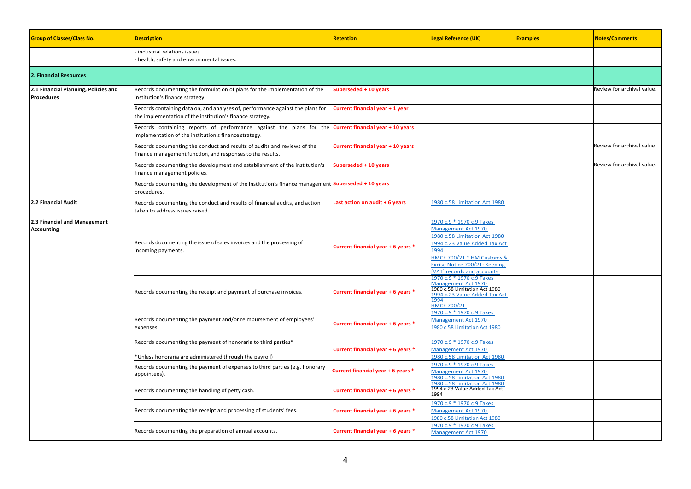| <b>Group of Classes/Class No.</b>                         | <b>Description</b>                                                                                                                          | <b>Retention</b>                         | <b>Legal Reference (UK)</b>                                                                                                                                                                                                    | <b>Examples</b> | <b>Notes/Comments</b>      |
|-----------------------------------------------------------|---------------------------------------------------------------------------------------------------------------------------------------------|------------------------------------------|--------------------------------------------------------------------------------------------------------------------------------------------------------------------------------------------------------------------------------|-----------------|----------------------------|
|                                                           | industrial relations issues<br>health, safety and environmental issues.                                                                     |                                          |                                                                                                                                                                                                                                |                 |                            |
| 2. Financial Resources                                    |                                                                                                                                             |                                          |                                                                                                                                                                                                                                |                 |                            |
| 2.1 Financial Planning, Policies and<br><b>Procedures</b> | Records documenting the formulation of plans for the implementation of the<br>institution's finance strategy.                               | Superseded + 10 years                    |                                                                                                                                                                                                                                |                 | Review for archival value. |
|                                                           | Records containing data on, and analyses of, performance against the plans for<br>the implementation of the institution's finance strategy. | Current financial year + 1 year          |                                                                                                                                                                                                                                |                 |                            |
|                                                           | Records containing reports of performance against the plans for the<br>implementation of the institution's finance strategy.                | <b>Current financial year + 10 years</b> |                                                                                                                                                                                                                                |                 |                            |
|                                                           | Records documenting the conduct and results of audits and reviews of the<br>finance management function, and responses to the results.      | Current financial year + 10 years        |                                                                                                                                                                                                                                |                 | Review for archival value. |
|                                                           | Records documenting the development and establishment of the institution's<br>finance management policies.                                  | Superseded + 10 years                    |                                                                                                                                                                                                                                |                 | Review for archival value. |
|                                                           | Records documenting the development of the institution's finance management <b>Superseded + 10 years</b><br>procedures.                     |                                          |                                                                                                                                                                                                                                |                 |                            |
| 2.2 Financial Audit                                       | Records documenting the conduct and results of financial audits, and action<br>taken to address issues raised.                              | Last action on audit + 6 years           | 1980 c.58 Limitation Act 1980                                                                                                                                                                                                  |                 |                            |
| 2.3 Financial and Management<br><b>Accounting</b>         | Records documenting the issue of sales invoices and the processing of<br>incoming payments.                                                 | Current financial year + 6 years *       | 1970 c.9 * 1970 c.9 Taxes<br><b>Management Act 1970</b><br>1980 c.58 Limitation Act 1980<br>1994 c.23 Value Added Tax Act<br>1994<br>HMCE 700/21 * HM Customs &<br>Excise Notice 700/21: Keeping<br>[VAT] records and accounts |                 |                            |
|                                                           | Records documenting the receipt and payment of purchase invoices.                                                                           | Current financial year + 6 years *       | 1970 c.9 * 1970 c.9 Taxes<br>Management Act 1970<br>1980 c.58 Limitation Act 1980<br>1994 c.23 Value Added Tax Act<br>1994<br><b>HMCE 700/21</b>                                                                               |                 |                            |
|                                                           | Records documenting the payment and/or reimbursement of employees'<br>expenses.                                                             | Current financial year + 6 years *       | 1970 c.9 * 1970 c.9 Taxes<br><b>Management Act 1970</b><br>1980 c.58 Limitation Act 1980                                                                                                                                       |                 |                            |
|                                                           | Records documenting the payment of honoraria to third parties*<br>Unless honoraria are administered through the payroll)                    | Current financial year + 6 years *       | 1970 c.9 * 1970 c.9 Taxes<br><b>Management Act 1970</b><br>1980 c.58 Limitation Act 1980                                                                                                                                       |                 |                            |
|                                                           | Records documenting the payment of expenses to third parties (e.g. honorary<br>appointees).                                                 | Current financial year + 6 years *       | 1970 c.9 * 1970 c.9 Taxes<br><b>Management Act 1970</b><br>1980 c.58 Limitation Act 1980                                                                                                                                       |                 |                            |
|                                                           | Records documenting the handling of petty cash.                                                                                             | Current financial year + 6 years *       | 1980 c.58 Limitation Act 1980<br>1994 c.23 Value Added Tax Act<br>1994                                                                                                                                                         |                 |                            |
|                                                           | Records documenting the receipt and processing of students' fees.                                                                           | Current financial year + 6 years *       | 1970 c.9 * 1970 c.9 Taxes<br><b>Management Act 1970</b><br>1980 c.58 Limitation Act 1980                                                                                                                                       |                 |                            |
|                                                           | Records documenting the preparation of annual accounts.                                                                                     | Current financial year + 6 years *       | 1970 c.9 * 1970 c.9 Taxes<br><b>Management Act 1970</b>                                                                                                                                                                        |                 |                            |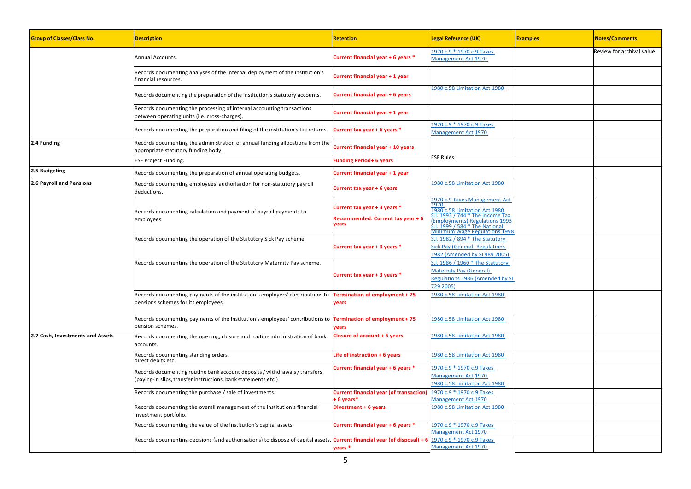| <b>Group of Classes/Class No.</b> | <b>Description</b>                                                                                                                                        | <b>Retention</b>                                                           | <b>Legal Reference (UK)</b>                                                                                                                                                                                            | <b>Examples</b> | <b>Notes/Comments</b>      |
|-----------------------------------|-----------------------------------------------------------------------------------------------------------------------------------------------------------|----------------------------------------------------------------------------|------------------------------------------------------------------------------------------------------------------------------------------------------------------------------------------------------------------------|-----------------|----------------------------|
|                                   | Annual Accounts.                                                                                                                                          | Current financial year + 6 years *                                         | 1970 c.9 * 1970 c.9 Taxes<br>Management Act 1970                                                                                                                                                                       |                 | Review for archival value. |
|                                   | Records documenting analyses of the internal deployment of the institution's<br>financial resources.                                                      | Current financial year + 1 year                                            |                                                                                                                                                                                                                        |                 |                            |
|                                   | Records documenting the preparation of the institution's statutory accounts.                                                                              | <b>Current financial year + 6 years</b>                                    | 1980 c.58 Limitation Act 1980                                                                                                                                                                                          |                 |                            |
|                                   | Records documenting the processing of internal accounting transactions<br>between operating units (i.e. cross-charges).                                   | Current financial year + 1 year                                            |                                                                                                                                                                                                                        |                 |                            |
|                                   | Records documenting the preparation and filing of the institution's tax returns.                                                                          | Current tax year + 6 years *                                               | 1970 c.9 * 1970 c.9 Taxes<br>Management Act 1970                                                                                                                                                                       |                 |                            |
| 2.4 Funding                       | Records documenting the administration of annual funding allocations from the<br>appropriate statutory funding body.                                      | Current financial year + 10 years                                          |                                                                                                                                                                                                                        |                 |                            |
|                                   | ESF Project Funding.                                                                                                                                      | <b>Funding Period+ 6 years</b>                                             | ESF Rules                                                                                                                                                                                                              |                 |                            |
| 2.5 Budgeting                     | Records documenting the preparation of annual operating budgets.                                                                                          | Current financial year + 1 year                                            |                                                                                                                                                                                                                        |                 |                            |
| 2.6 Payroll and Pensions          | Records documenting employees' authorisation for non-statutory payroll<br>deductions.                                                                     | Current tax year + 6 years                                                 | 1980 c.58 Limitation Act 1980                                                                                                                                                                                          |                 |                            |
|                                   | Records documenting calculation and payment of payroll payments to<br>employees.                                                                          | Current tax year + 3 years *<br>Recommended: Current tax year + 6<br>vears | 1970 c.9 Taxes Management Act<br>1970<br>1980 c.58 Limitation Act 1980<br>S.I. 1993 / 744 * The Income Tax<br>(Employments) Regulations 1993<br>5.1. 1999 / 584 * The National<br><b>Minimum Wage Regulations 1998</b> |                 |                            |
|                                   | Records documenting the operation of the Statutory Sick Pay scheme.                                                                                       | Current tax year + 3 years *                                               | S.I. 1982 / 894 * The Statutory<br><b>Sick Pay (General) Regulations</b><br>1982 (Amended by SI 989 2005)                                                                                                              |                 |                            |
|                                   | Records documenting the operation of the Statutory Maternity Pay scheme.                                                                                  | Current tax year + 3 years *                                               | S.I. 1986 / 1960 * The Statutory<br><b>Maternity Pay (General)</b><br><b>Regulations 1986 (Amended by SI</b><br>729 2005)                                                                                              |                 |                            |
|                                   | Records documenting payments of the institution's employers' contributions to <b>Termination of employment +75</b><br>pensions schemes for its employees. | years                                                                      | 1980 c.58 Limitation Act 1980                                                                                                                                                                                          |                 |                            |
|                                   | Records documenting payments of the institution's employees' contributions to <b>Termination of employment + 75</b><br>pension schemes.                   | years                                                                      | 1980 c.58 Limitation Act 1980                                                                                                                                                                                          |                 |                            |
| 2.7 Cash, Investments and Assets  | Records documenting the opening, closure and routine administration of bank<br>accounts.                                                                  | Closure of account + 6 years                                               | 1980 c.58 Limitation Act 1980                                                                                                                                                                                          |                 |                            |
|                                   | Records documenting standing orders,<br>direct debits etc.                                                                                                | Life of instruction $+6$ years                                             | 1980 c.58 Limitation Act 1980                                                                                                                                                                                          |                 |                            |
|                                   | Records documenting routine bank account deposits / withdrawals / transfers<br>paying-in slips, transfer instructions, bank statements etc.)              | Current financial year + 6 years *                                         | 1970 c.9 * 1970 c.9 Taxes<br>Management Act 1970<br>1980 c.58 Limitation Act 1980                                                                                                                                      |                 |                            |
|                                   | Records documenting the purchase / sale of investments.                                                                                                   | <b>Current financial year (of transaction)</b><br>+6 years*                | 1970 c.9 * 1970 c.9 Taxes<br>Management Act 1970                                                                                                                                                                       |                 |                            |
|                                   | Records documenting the overall management of the institution's financial<br>investment portfolio.                                                        | Divestment + 6 years                                                       | 1980 c.58 Limitation Act 1980                                                                                                                                                                                          |                 |                            |
|                                   | Records documenting the value of the institution's capital assets.                                                                                        | Current financial year + 6 years *                                         | 1970 c.9 * 1970 c.9 Taxes<br>Management Act 1970                                                                                                                                                                       |                 |                            |
|                                   | Records documenting decisions (and authorisations) to dispose of capital assets.                                                                          | Current financial year (of disposal) + 6<br>years *                        | 1970 c.9 * 1970 c.9 Taxes<br>Management Act 1970                                                                                                                                                                       |                 |                            |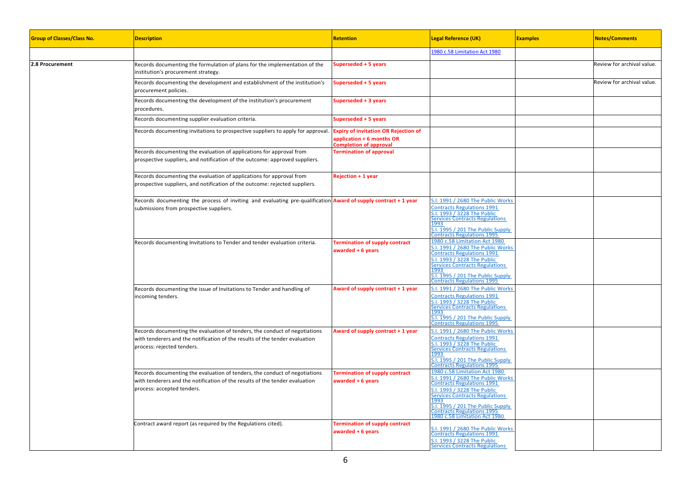| <b>Group of Classes/Class No.</b> | <b>Description</b>                                                                                                                                                                      | <b>Retention</b>                                                                                          | <b>Legal Reference (UK)</b>                                                                                                                                                                                                                                                                | <b>Examples</b> | <b>Notes/Comments</b>      |
|-----------------------------------|-----------------------------------------------------------------------------------------------------------------------------------------------------------------------------------------|-----------------------------------------------------------------------------------------------------------|--------------------------------------------------------------------------------------------------------------------------------------------------------------------------------------------------------------------------------------------------------------------------------------------|-----------------|----------------------------|
|                                   |                                                                                                                                                                                         |                                                                                                           | 1980 c.58 Limitation Act 1980                                                                                                                                                                                                                                                              |                 |                            |
| 2.8 Procurement                   | Records documenting the formulation of plans for the implementation of the<br>institution's procurement strategy.                                                                       | Superseded + 5 years                                                                                      |                                                                                                                                                                                                                                                                                            |                 | Review for archival value. |
|                                   | Records documenting the development and establishment of the institution's<br>procurement policies.                                                                                     | Superseded + 5 years                                                                                      |                                                                                                                                                                                                                                                                                            |                 | Review for archival value. |
|                                   | Records documenting the development of the institution's procurement<br>procedures.                                                                                                     | Superseded + 3 years                                                                                      |                                                                                                                                                                                                                                                                                            |                 |                            |
|                                   | Records documenting supplier evaluation criteria.                                                                                                                                       | Superseded + 5 years                                                                                      |                                                                                                                                                                                                                                                                                            |                 |                            |
|                                   | Records documenting invitations to prospective suppliers to apply for approval.                                                                                                         | <b>Expiry of invitation OR Rejection of</b><br>application + 6 months OR<br><b>Completion of approval</b> |                                                                                                                                                                                                                                                                                            |                 |                            |
|                                   | Records documenting the evaluation of applications for approval from<br>prospective suppliers, and notification of the outcome: approved suppliers.                                     | <b>Termination of approval</b>                                                                            |                                                                                                                                                                                                                                                                                            |                 |                            |
|                                   | Records documenting the evaluation of applications for approval from<br>prospective suppliers, and notification of the outcome: rejected suppliers.                                     | <b>Rejection + 1 year</b>                                                                                 |                                                                                                                                                                                                                                                                                            |                 |                            |
|                                   | Records documenting the process of inviting and evaluating pre-qualification <b>Award of supply contract + 1 year</b><br>submissions from prospective suppliers.                        |                                                                                                           | S.I. 1991 / 2680 The Public Works<br><b>Contracts Regulations 1991</b><br>S.I. 1993 / 3228 The Public<br>Services Contracts Regulations<br>1993<br>$5.1.1995/201$ The Public Supply<br><b>Contracts Regulations 1995</b>                                                                   |                 |                            |
|                                   | Records documenting Invitations to Tender and tender evaluation criteria.                                                                                                               | <b>Termination of supply contract</b><br>awarded + 6 years                                                | 1980 c.58 Limitation Act 1980<br>S.I. 1991 / 2680 The Public Works<br><b>Contracts Regulations 1991</b><br>S.I. 1993 / 3228 The Public<br><b>Services Contracts Regulations</b><br>1993<br>$5.1.1995/201$ The Public Supply<br><b>Contracts Regulations 1995</b>                           |                 |                            |
|                                   | Records documenting the issue of Invitations to Tender and handling of<br>incoming tenders.                                                                                             | Award of supply contract + 1 year                                                                         | S.I. 1991 / 2680 The Public Works<br><b>Contracts Regulations 1991</b><br>S.I. 1993 / 3228 The Public<br><b>Services Contracts Regulations</b><br>1993<br>$5.1.1995/201$ The Public Supply<br><b>Contracts Regulations 1995</b>                                                            |                 |                            |
|                                   | Records documenting the evaluation of tenders, the conduct of negotiations<br>with tenderers and the notification of the results of the tender evaluation<br>process: rejected tenders. | Award of supply contract + 1 year                                                                         | S.I. 1991 / 2680 The Public Works<br><b>Contracts Regulations 1991</b><br>5.1. 1993 / 3228 The Public<br><b>Services Contracts Regulations</b><br>993<br>5.1. 1995 / 201 The Public Supply<br><b>Contracts Regulations 1995</b>                                                            |                 |                            |
|                                   | Records documenting the evaluation of tenders, the conduct of negotiations<br>with tenderers and the notification of the results of the tender evaluation<br>process: accepted tenders. | <b>Termination of supply contract</b><br>awarded + 6 years                                                | 1980 c.58 Limitation Act 1980<br>S.I. 1991 / 2680 The Public Works<br><b>Contracts Regulations 1991</b><br>S.I. 1993 / 3228 The Public<br>Services Contracts Regulations<br>1993<br>$5.1.1995/201$ The Public Supply<br><b>Contracts Regulations 1995</b><br>1980 c.58 Limitation Act 1980 |                 |                            |
|                                   | Contract award report (as required by the Regulations cited).                                                                                                                           | <b>Termination of supply contract</b><br>awarded + 6 years                                                | 5.1. 1991 / 2680 The Public Works<br><b>Contracts Regulations 1991</b><br>S.I. 1993 / 3228 The Public<br><b>Services Contracts Regulations</b>                                                                                                                                             |                 |                            |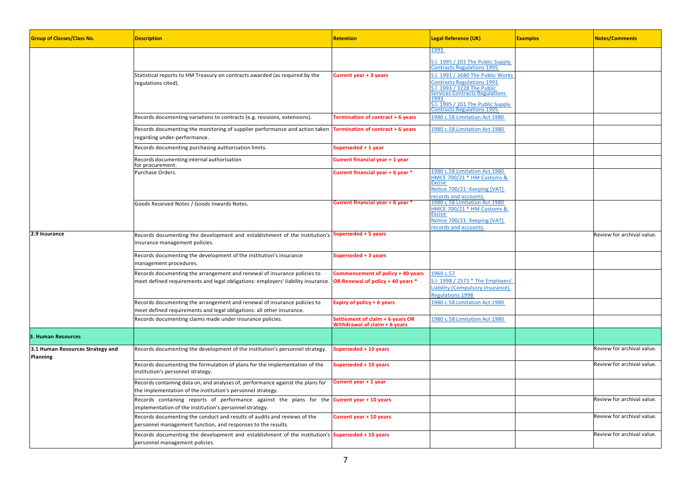| <b>Group of Classes/Class No.</b>            | <b>Description</b>                                                                                                                                           | <b>Retention</b>                                                         | <b>Legal Reference (UK)</b>                                                                                                                                                                                         | <b>Examples</b> | <b>Notes/Comments</b>      |
|----------------------------------------------|--------------------------------------------------------------------------------------------------------------------------------------------------------------|--------------------------------------------------------------------------|---------------------------------------------------------------------------------------------------------------------------------------------------------------------------------------------------------------------|-----------------|----------------------------|
|                                              |                                                                                                                                                              |                                                                          | 1993<br>.I. 1995 / 201 The Public Supply<br><b>Contracts Regulations 1995</b>                                                                                                                                       |                 |                            |
|                                              | Statistical reports to HM Treasury on contracts awarded (as required by the<br>regulations cited).                                                           | Current year + 3 years                                                   | 3.1. 1991 / 2680 The Public Works<br><b>Contracts Regulations 1991</b><br>1993 / 3228 The Public<br>Services Contracts Regulations<br>1993<br>$5.1.1995/201$ The Public Supply<br><b>Contracts Regulations 1995</b> |                 |                            |
|                                              | Records documenting variations to contracts (e.g. revisions, extensions).                                                                                    | Termination of contract + 6 years                                        | 1980 c.58 Limitation Act 1980                                                                                                                                                                                       |                 |                            |
|                                              | Records documenting the monitoring of supplier performance and action taken<br>regarding under-performance.                                                  | Termination of contract + 6 years                                        | 1980 c.58 Limitation Act 1980                                                                                                                                                                                       |                 |                            |
|                                              | Records documenting purchasing authorisation limits.                                                                                                         | Superseded + 1 year                                                      |                                                                                                                                                                                                                     |                 |                            |
|                                              | Records documenting internal authorisation<br>for procurement.                                                                                               | Current financial year + 1 year                                          |                                                                                                                                                                                                                     |                 |                            |
|                                              | Purchase Orders.                                                                                                                                             | Current financial year + 6 year *                                        | 1980 c.58 Limitation Act 1980<br>HMCE 700/21 * HM Customs &<br>Excise<br>Notice 700/21: Keeping [VAT]<br>ecords and accounts                                                                                        |                 |                            |
|                                              | Goods Received Notes / Goods Inwards Notes.                                                                                                                  | Current financial year + 6 year *                                        | 1980 c.58 Limitation Act 1980<br>HMCE 700/21 * HM Customs &<br>Excise<br>Notice 700/21: Keeping [VAT]<br>ecords and accounts                                                                                        |                 |                            |
| 2.9 Insurance                                | Records documenting the development and establishment of the institution's <b>Superseded + 5 years</b><br>insurance management policies.                     |                                                                          |                                                                                                                                                                                                                     |                 | Review for archival value. |
|                                              | Records documenting the development of the institution's insurance<br>management procedures.                                                                 | Superseded + 3 years                                                     |                                                                                                                                                                                                                     |                 |                            |
|                                              | Records documenting the arrangement and renewal of insurance policies to<br>meet defined requirements and legal obligations: employers' liability insurance. | Commencement of policy + 40 years<br>OR Renewal of policy + 40 years *   | 1969 c.57<br>1998 / 2573 * The Employers'<br>Liability (Compulsory Insurance)<br>Regulations 1998                                                                                                                   |                 |                            |
|                                              | Records documenting the arrangement and renewal of insurance policies to<br>meet defined requirements and legal obligations: all other insurance.            | Expiry of policy + 6 years                                               | 1980 c.58 Limitation Act 1980                                                                                                                                                                                       |                 |                            |
|                                              | Records documenting claims made under insurance policies.                                                                                                    | Settlement of claim + 6 years OR<br><b>Nithdrawal of claim + 6 years</b> | 1980 c.58 Limitation Act 1980                                                                                                                                                                                       |                 |                            |
| 3. Human Resources                           |                                                                                                                                                              |                                                                          |                                                                                                                                                                                                                     |                 |                            |
| 3.1 Human Resources Strategy and<br>Planning | Records documenting the development of the institution's personnel strategy.                                                                                 | Superseded + 10 years                                                    |                                                                                                                                                                                                                     |                 | Review for archival value. |
|                                              | Records documenting the formulation of plans for the implementation of the<br>institution's personnel strategy.                                              | Superseded + 10 years                                                    |                                                                                                                                                                                                                     |                 | Review for archival value. |
|                                              | Records containing data on, and analyses of, performance against the plans for<br>the implementation of the institution's personnel strategy.                | Current year + 1 year                                                    |                                                                                                                                                                                                                     |                 |                            |
|                                              | Records containing reports of performance against the plans for the<br>implementation of the institution's personnel strategy.                               | Current year + 10 years                                                  |                                                                                                                                                                                                                     |                 | Review for archival value. |
|                                              | Records documenting the conduct and results of audits and reviews of the<br>personnel management function, and responses to the results.                     | Current year + 10 years                                                  |                                                                                                                                                                                                                     |                 | Review for archival value. |
|                                              | Records documenting the development and establishment of the institution's Superseded + 10 years<br>personnel management policies.                           |                                                                          |                                                                                                                                                                                                                     |                 | Review for archival value. |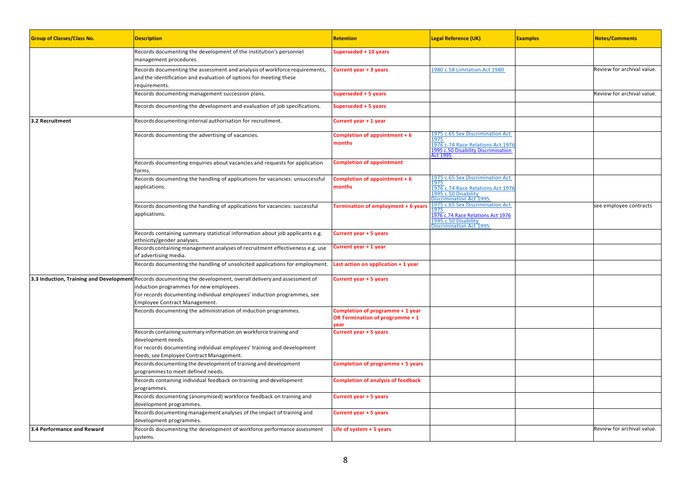| <b>Group of Classes/Class No.</b> | <b>Description</b>                                                                                                                                                                                                                                                     | <b>Retention</b>                                                            | <b>Legal Reference (UK)</b>                                                                                                             | <b>Examples</b> | <b>Notes/Comments</b>      |
|-----------------------------------|------------------------------------------------------------------------------------------------------------------------------------------------------------------------------------------------------------------------------------------------------------------------|-----------------------------------------------------------------------------|-----------------------------------------------------------------------------------------------------------------------------------------|-----------------|----------------------------|
|                                   | Records documenting the development of the institution's personnel<br>management procedures.                                                                                                                                                                           | Superseded + 10 years                                                       |                                                                                                                                         |                 |                            |
|                                   | Records documenting the assessment and analysis of workforce requirements,<br>and the identification and evaluation of options for meeting these<br>requirements.                                                                                                      | Current year + 3 years                                                      | 1980 c.58 Limitation Act 1980                                                                                                           |                 | Review for archival value. |
|                                   | Records documenting management succession plans.                                                                                                                                                                                                                       | Superseded + 5 years                                                        |                                                                                                                                         |                 | Review for archival value. |
|                                   | Records documenting the development and evaluation of job specifications.                                                                                                                                                                                              | Superseded + 5 years                                                        |                                                                                                                                         |                 |                            |
| 3.2 Recruitment                   | Records documenting internal authorisation for recruitment.                                                                                                                                                                                                            | Current year + 1 year                                                       |                                                                                                                                         |                 |                            |
|                                   | Records documenting the advertising of vacancies.                                                                                                                                                                                                                      | Completion of appointment + 6<br>months                                     | 1975 c.65 Sex Discrimination Act<br>L975<br>1976 c.74 Race Relations Act 1976<br>1995 c.50 Disability Discrimination<br><b>Act 1995</b> |                 |                            |
|                                   | Records documenting enquiries about vacancies and requests for application<br>forms.                                                                                                                                                                                   | <b>Completion of appointment</b>                                            |                                                                                                                                         |                 |                            |
|                                   | Records documenting the handling of applications for vacancies: unsuccessful<br>applications.                                                                                                                                                                          | Completion of appointment + 6<br>months                                     | 1975 c.65 Sex Discrimination Act<br>1975<br>1976 c.74 Race Relations Act 1976<br>1995 c.50 Disability<br>Discrimination Act 1995        |                 |                            |
|                                   | Records documenting the handling of applications for vacancies: successful<br>applications.                                                                                                                                                                            | <b>Termination of employment + 6 years</b>                                  | 1975 c.65 Sex Discrimination Act<br><b>1975</b><br>1976 c.74 Race Relations Act 1976<br>1995 c.50 Disability<br>Discrimination Act 1995 |                 | see employee contracts     |
|                                   | Records containing summary statistical information about job applicants e.g.<br>ethnicity/gender analyses.                                                                                                                                                             | Current year + 5 years                                                      |                                                                                                                                         |                 |                            |
|                                   | Records containing management analyses of recruitment effectiveness e.g. use<br>of advertising media.                                                                                                                                                                  | Current year + 1 year                                                       |                                                                                                                                         |                 |                            |
|                                   | Records documenting the handling of unsolicited applications for employment.                                                                                                                                                                                           | Last action on application + 1 year                                         |                                                                                                                                         |                 |                            |
|                                   | 3.3 Induction, Training and Development Records documenting the development, overall delivery and assessment of<br>induction programmes for new employees.<br>For records documenting individual employees' induction programmes, see<br>Employee Contract Management. | Current year + 5 years                                                      |                                                                                                                                         |                 |                            |
|                                   | Records documenting the administration of induction programmes.                                                                                                                                                                                                        | Completion of programme + 1 year<br>OR Termination of programme + 1<br>year |                                                                                                                                         |                 |                            |
|                                   | Records containing summary information on workforce training and<br>development needs.<br>For records documenting individual employees' training and development<br>needs, see Employee Contract Management.                                                           | Current year + 5 years                                                      |                                                                                                                                         |                 |                            |
|                                   | Records documenting the development of training and development<br>programmes to meet defined needs.                                                                                                                                                                   | Completion of programme + 5 years                                           |                                                                                                                                         |                 |                            |
|                                   | Records containing individual feedback on training and development<br>programmes.                                                                                                                                                                                      | <b>Completion of analysis of feedback</b>                                   |                                                                                                                                         |                 |                            |
|                                   | Records documenting (anonymised) workforce feedback on training and<br>development programmes.                                                                                                                                                                         | Current year + 5 years                                                      |                                                                                                                                         |                 |                            |
|                                   | Records documenting management analyses of the impact of training and<br>development programmes.                                                                                                                                                                       | Current year + 5 years                                                      |                                                                                                                                         |                 |                            |
| 3.4 Performance and Reward        | Records documenting the development of workforce performance assessment<br>systems.                                                                                                                                                                                    | Life of system + 5 years                                                    |                                                                                                                                         |                 | Review for archival value. |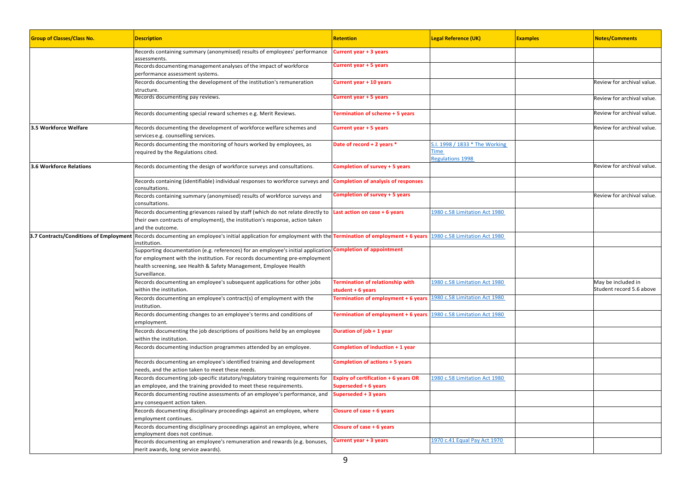| <b>Group of Classes/Class No.</b>      | <b>Description</b>                                                                                                                                                                                                                                                              | <b>Retention</b>                                             | <b>Legal Reference (UK)</b>                                       | <b>Examples</b> | <b>Notes/Comments</b>                          |
|----------------------------------------|---------------------------------------------------------------------------------------------------------------------------------------------------------------------------------------------------------------------------------------------------------------------------------|--------------------------------------------------------------|-------------------------------------------------------------------|-----------------|------------------------------------------------|
|                                        | Records containing summary (anonymised) results of employees' performance<br>assessments.                                                                                                                                                                                       | Current year + 3 years                                       |                                                                   |                 |                                                |
|                                        | Records documenting management analyses of the impact of workforce<br>performance assessment systems.                                                                                                                                                                           | Current year + 5 years                                       |                                                                   |                 |                                                |
|                                        | Records documenting the development of the institution's remuneration<br>structure.                                                                                                                                                                                             | Current year + 10 years                                      |                                                                   |                 | Review for archival value.                     |
|                                        | Records documenting pay reviews.                                                                                                                                                                                                                                                | Current year + 5 years                                       |                                                                   |                 | Review for archival value.                     |
|                                        | Records documenting special reward schemes e.g. Merit Reviews.                                                                                                                                                                                                                  | Termination of scheme + 5 years                              |                                                                   |                 | Review for archival value.                     |
| 3.5 Workforce Welfare                  | Records documenting the development of workforce welfare schemes and<br>services e.g. counselling services.                                                                                                                                                                     | Current year + 5 years                                       |                                                                   |                 | Review for archival value.                     |
|                                        | Records documenting the monitoring of hours worked by employees, as<br>required by the Regulations cited.                                                                                                                                                                       | Date of record + 2 years *                                   | S.I. 1998 / 1833 * The Working<br>Time<br><b>Regulations 1998</b> |                 |                                                |
| <b>3.6 Workforce Relations</b>         | Records documenting the design of workforce surveys and consultations.                                                                                                                                                                                                          | Completion of survey + 5 years                               |                                                                   |                 | Review for archival value.                     |
|                                        | Records containing (identifiable) individual responses to workforce surveys and<br>consultations.                                                                                                                                                                               | <b>Completion of analysis of responses</b>                   |                                                                   |                 |                                                |
|                                        | Records containing summary (anonymised) results of workforce surveys and<br>consultations.                                                                                                                                                                                      | Completion of survey + 5 years                               |                                                                   |                 | Review for archival value.                     |
|                                        | Records documenting grievances raised by staff (which do not relate directly to<br>their own contracts of employment), the institution's response, action taken<br>and the outcome.                                                                                             | Last action on case + 6 years                                | 1980 c.58 Limitation Act 1980                                     |                 |                                                |
| 3.7 Contracts/Conditions of Employment | Records documenting an employee's initial application for employment with the Termination of employment + 6 years<br>institution.                                                                                                                                               |                                                              | 1980 c.58 Limitation Act 1980                                     |                 |                                                |
|                                        | Supporting documentation (e.g. references) for an employee's initial application Completion of appointment<br>for employment with the institution. For records documenting pre-employment<br>health screening, see Health & Safety Management, Employee Health<br>Surveillance. |                                                              |                                                                   |                 |                                                |
|                                        | Records documenting an employee's subsequent applications for other jobs<br>within the institution.                                                                                                                                                                             | <b>Termination of relationship with</b><br>student + 6 years | 1980 c.58 Limitation Act 1980                                     |                 | May be included in<br>Student record 5.6 above |
|                                        | Records documenting an employee's contract(s) of employment with the<br>institution.                                                                                                                                                                                            | Termination of employment + 6 years                          | 1980 c.58 Limitation Act 1980                                     |                 |                                                |
|                                        | Records documenting changes to an employee's terms and conditions of<br>employment.                                                                                                                                                                                             | Termination of employment + 6 years                          | 1980 c.58 Limitation Act 1980                                     |                 |                                                |
|                                        | Records documenting the job descriptions of positions held by an employee<br>within the institution.                                                                                                                                                                            | Duration of job + 1 year                                     |                                                                   |                 |                                                |
|                                        | Records documenting induction programmes attended by an employee.                                                                                                                                                                                                               | Completion of induction + 1 year                             |                                                                   |                 |                                                |
|                                        | Records documenting an employee's identified training and development<br>needs, and the action taken to meet these needs.                                                                                                                                                       | <b>Completion of actions + 5 years</b>                       |                                                                   |                 |                                                |
|                                        | Records documenting job-specific statutory/regulatory training requirements for                                                                                                                                                                                                 | Expiry of certification + 6 years OR                         | 1980 c.58 Limitation Act 1980                                     |                 |                                                |
|                                        | an employee, and the training provided to meet these requirements.<br>Records documenting routine assessments of an employee's performance, and<br>any consequent action taken.                                                                                                 | Superseded + 6 years<br>Superseded + 3 years                 |                                                                   |                 |                                                |
|                                        | Records documenting disciplinary proceedings against an employee, where<br>employment continues.                                                                                                                                                                                | Closure of case + 6 years                                    |                                                                   |                 |                                                |
|                                        | Records documenting disciplinary proceedings against an employee, where<br>employment does not continue.                                                                                                                                                                        | <b>Closure of case + 6 years</b>                             |                                                                   |                 |                                                |
|                                        | Records documenting an employee's remuneration and rewards (e.g. bonuses,<br>merit awards, long service awards).                                                                                                                                                                | Current year + 3 years                                       | 1970 c.41 Equal Pay Act 1970                                      |                 |                                                |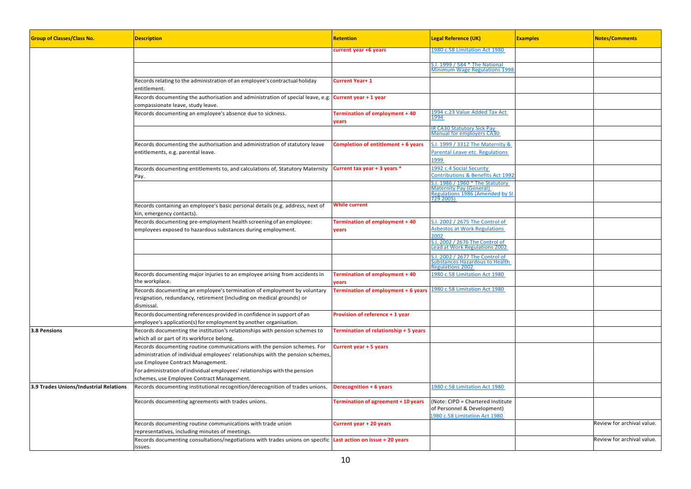| <b>Group of Classes/Class No.</b>      | <b>Description</b>                                                                                                                                                                                                                                                             | <b>Retention</b>                        | <b>Legal Reference (UK)</b>                                                                                 | <b>Examples</b> | <b>Notes/Comments</b>      |
|----------------------------------------|--------------------------------------------------------------------------------------------------------------------------------------------------------------------------------------------------------------------------------------------------------------------------------|-----------------------------------------|-------------------------------------------------------------------------------------------------------------|-----------------|----------------------------|
|                                        |                                                                                                                                                                                                                                                                                | current year +6 years                   | 1980 c.58 Limitation Act 1980                                                                               |                 |                            |
|                                        |                                                                                                                                                                                                                                                                                |                                         | S.I. 1999 / 584 * The National<br>Minimum Wage Regulations 1998                                             |                 |                            |
|                                        | Records relating to the administration of an employee's contractual holiday<br>entitlement.                                                                                                                                                                                    | Current Year+1                          |                                                                                                             |                 |                            |
|                                        | Records documenting the authorisation and administration of special leave, e.g.<br>compassionate leave, study leave.                                                                                                                                                           | Current year + 1 year                   |                                                                                                             |                 |                            |
|                                        | Records documenting an employee's absence due to sickness.                                                                                                                                                                                                                     | Termination of employment + 40<br>years | 1994 c.23 Value Added Tax Act<br>1994                                                                       |                 |                            |
|                                        |                                                                                                                                                                                                                                                                                |                                         | <b>IR CA30 Statutory Sick Pay</b><br><b>Manual for employers CA30</b>                                       |                 |                            |
|                                        | Records documenting the authorisation and administration of statutory leave<br>entitlements, e.g. parental leave.                                                                                                                                                              | Completion of entitlement + 6 years     | S.I. 1999 / 3312 The Maternity &<br>Parental Leave etc. Regulations<br>1999                                 |                 |                            |
|                                        | Records documenting entitlements to, and calculations of, Statutory Maternity<br>Pay.                                                                                                                                                                                          | Current tax year + 3 years *            | 1992 c.4 Social Security<br>Contributions & Benefits Act 1992                                               |                 |                            |
|                                        |                                                                                                                                                                                                                                                                                |                                         | S.I. 1986 / 1960 * The Statutory<br>Maternity Pay (General)<br>Regulations 1986 (Amended by SI<br>729 2005) |                 |                            |
|                                        | Records containing an employee's basic personal details (e.g. address, next of<br>kin, emergency contacts).                                                                                                                                                                    | While current                           |                                                                                                             |                 |                            |
|                                        | Records documenting pre-employment health screening of an employee:<br>employees exposed to hazardous substances during employment.                                                                                                                                            | Termination of employment + 40<br>years | S.I. 2002 / 2675 The Control of<br><b>Asbestos at Work Regulations</b><br>2002                              |                 |                            |
|                                        |                                                                                                                                                                                                                                                                                |                                         | S.I. 2002 / 2676 The Control of<br>Lead at Work Regulations 2002                                            |                 |                            |
|                                        |                                                                                                                                                                                                                                                                                |                                         | .l. 2002 / 2677 The Control of<br>Substances Hazardous to Health<br>Regulations 2002                        |                 |                            |
|                                        | Records documenting major injuries to an employee arising from accidents in<br>the workplace.                                                                                                                                                                                  | Termination of employment + 40<br>years | 1980 c.58 Limitation Act 1980                                                                               |                 |                            |
|                                        | Records documenting an employee's termination of employment by voluntary<br>resignation, redundancy, retirement (including on medical grounds) or<br>dismissal.                                                                                                                | Termination of employment + 6 years     | 1980 c.58 Limitation Act 1980                                                                               |                 |                            |
|                                        | Records documenting references provided in confidence in support of an<br>employee's application(s) for employment by another organisation.                                                                                                                                    | Provision of reference + 1 year         |                                                                                                             |                 |                            |
| 3.8 Pensions                           | Records documenting the institution's relationships with pension schemes to<br>which all or part of its workforce belong.                                                                                                                                                      | Termination of relationship + 5 years   |                                                                                                             |                 |                            |
|                                        | Records documenting routine communications with the pension schemes. For<br>administration of individual employees' relationships with the pension schemes,<br>use Employee Contract Management.<br>For administration of individual employees' relationships with the pension | Current year + 5 years                  |                                                                                                             |                 |                            |
| 3.9 Trades Unions/Industrial Relations | schemes, use Employee Contract Management.<br>Records documenting institutional recognition/derecognition of trades unions.                                                                                                                                                    | Derecognition + 6 years                 | 1980 c.58 Limitation Act 1980                                                                               |                 |                            |
|                                        | Records documenting agreements with trades unions.                                                                                                                                                                                                                             | Termination of agreement + 10 years     | (Note: CIPD = Chartered Institute<br>of Personnel & Development)                                            |                 |                            |
|                                        |                                                                                                                                                                                                                                                                                |                                         | 1980 c.58 Limitation Act 1980                                                                               |                 | Review for archival value. |
|                                        | Records documenting routine communications with trade union<br>epresentatives, including minutes of meetings.                                                                                                                                                                  | Current year + 20 years                 |                                                                                                             |                 |                            |
|                                        | Records documenting consultations/negotiations with trades unions on specific Last action on issue + 20 years<br>issues.                                                                                                                                                       |                                         |                                                                                                             |                 | Review for archival value. |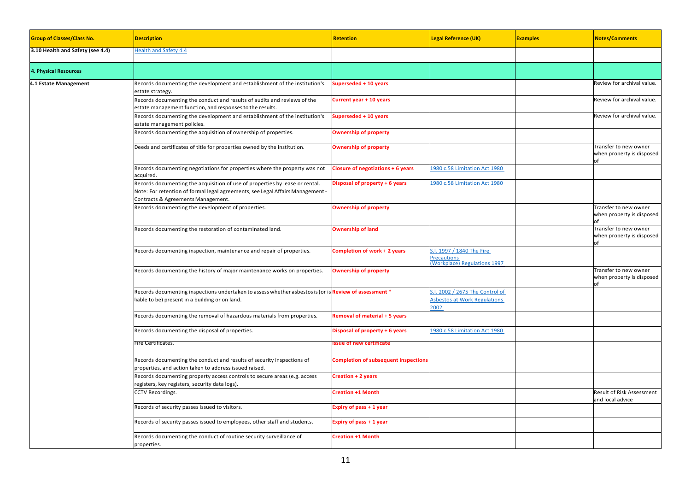| <b>Group of Classes/Class No.</b> | <b>Description</b>                                                                                                                                                                                   | <b>Retention</b>                     | <b>Legal Reference (UK)</b>                                                          | <b>Examples</b> | <b>Notes/Comments</b>                                    |
|-----------------------------------|------------------------------------------------------------------------------------------------------------------------------------------------------------------------------------------------------|--------------------------------------|--------------------------------------------------------------------------------------|-----------------|----------------------------------------------------------|
| 3.10 Health and Safety (see 4.4)  | <b>Health and Safety 4.4</b>                                                                                                                                                                         |                                      |                                                                                      |                 |                                                          |
| <b>4. Physical Resources</b>      |                                                                                                                                                                                                      |                                      |                                                                                      |                 |                                                          |
| 4.1 Estate Management             | Records documenting the development and establishment of the institution's<br>state strategy.                                                                                                        | Superseded + 10 years                |                                                                                      |                 | Review for archival value.                               |
|                                   | Records documenting the conduct and results of audits and reviews of the<br>estate management function, and responses to the results.                                                                | Current year + 10 years              |                                                                                      |                 | Review for archival value.                               |
|                                   | Records documenting the development and establishment of the institution's<br>estate management policies.                                                                                            | Superseded + 10 years                |                                                                                      |                 | Review for archival value.                               |
|                                   | Records documenting the acquisition of ownership of properties.                                                                                                                                      | <b>Ownership of property</b>         |                                                                                      |                 |                                                          |
|                                   | Deeds and certificates of title for properties owned by the institution.                                                                                                                             | <b>Ownership of property</b>         |                                                                                      |                 | Transfer to new owner<br>when property is disposed<br>of |
|                                   | Records documenting negotiations for properties where the property was not<br>acquired.                                                                                                              | Closure of negotiations + 6 years    | 1980 c.58 Limitation Act 1980                                                        |                 |                                                          |
|                                   | Records documenting the acquisition of use of properties by lease or rental.<br>Note: For retention of formal legal agreements, see Legal Affairs Management -<br>Contracts & Agreements Management. | Disposal of property + 6 years       | 980 c.58 Limitation Act 1980                                                         |                 |                                                          |
|                                   | Records documenting the development of properties.                                                                                                                                                   | <b>Ownership of property</b>         |                                                                                      |                 | Transfer to new owner<br>when property is disposed       |
|                                   | Records documenting the restoration of contaminated land.                                                                                                                                            | <b>Ownership of land</b>             |                                                                                      |                 | Transfer to new owner<br>when property is disposed<br>nf |
|                                   | Records documenting inspection, maintenance and repair of properties.                                                                                                                                | Completion of work + 2 years         | .I. 1997 / 1840 The Fire<br><b>recautions</b><br><b>Workplace</b> ) Regulations 1997 |                 |                                                          |
|                                   | Records documenting the history of major maintenance works on properties.                                                                                                                            | <b>Ownership of property</b>         |                                                                                      |                 | Transfer to new owner<br>when property is disposed<br>of |
|                                   | Records documenting inspections undertaken to assess whether asbestos is (or is <b>Review of assessment *</b><br>iable to be) present in a building or on land.                                      |                                      | S.I. 2002 / 2675 The Control of<br><b>Asbestos at Work Regulations</b><br>:002       |                 |                                                          |
|                                   | Records documenting the removal of hazardous materials from properties.                                                                                                                              | Removal of material + 5 years        |                                                                                      |                 |                                                          |
|                                   | Records documenting the disposal of properties.                                                                                                                                                      | Disposal of property + 6 years       | 1980 c.58 Limitation Act 1980                                                        |                 |                                                          |
|                                   | ire Certificates.                                                                                                                                                                                    | ssue of new certificate              |                                                                                      |                 |                                                          |
|                                   | Records documenting the conduct and results of security inspections of<br>properties, and action taken to address issued raised.                                                                     | Completion of subsequent inspections |                                                                                      |                 |                                                          |
|                                   | Records documenting property access controls to secure areas (e.g. access<br>egisters, key registers, security data logs).                                                                           | <b>Creation + 2 years</b>            |                                                                                      |                 |                                                          |
|                                   | CCTV Recordings.                                                                                                                                                                                     | <b>Creation +1 Month</b>             |                                                                                      |                 | Result of Risk Assessment<br>and local advice            |
|                                   | Records of security passes issued to visitors.                                                                                                                                                       | xpiry of pass + 1 year               |                                                                                      |                 |                                                          |
|                                   | Records of security passes issued to employees, other staff and students.                                                                                                                            | xpiry of pass + 1 year               |                                                                                      |                 |                                                          |
|                                   | Records documenting the conduct of routine security surveillance of<br>properties.                                                                                                                   | reation +1 Month                     |                                                                                      |                 |                                                          |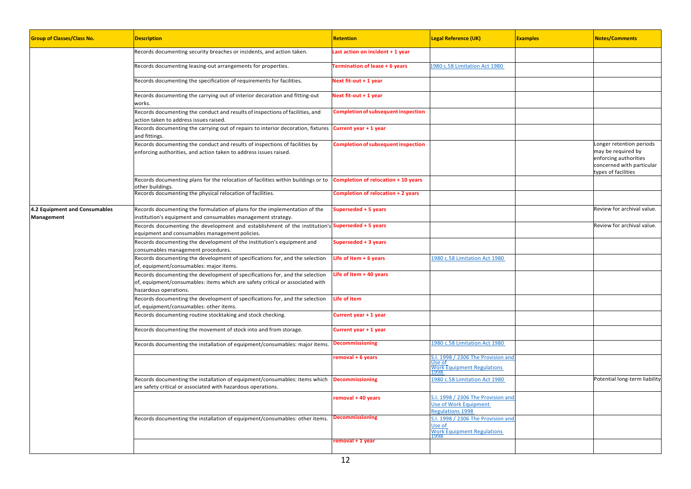| <b>Group of Classes/Class No.</b>           | <b>Description</b>                                                                                                                                                                     | <b>Retention</b>                           | <b>Legal Reference (UK)</b>                                                                 | <b>Examples</b> | <b>Notes/Comments</b>                                                                                                      |
|---------------------------------------------|----------------------------------------------------------------------------------------------------------------------------------------------------------------------------------------|--------------------------------------------|---------------------------------------------------------------------------------------------|-----------------|----------------------------------------------------------------------------------------------------------------------------|
|                                             | Records documenting security breaches or incidents, and action taken.                                                                                                                  | Last action on incident + 1 year           |                                                                                             |                 |                                                                                                                            |
|                                             | Records documenting leasing-out arrangements for properties.                                                                                                                           | <b>Termination of lease + 6 years</b>      | 1980 c.58 Limitation Act 1980                                                               |                 |                                                                                                                            |
|                                             | Records documenting the specification of requirements for facilities.                                                                                                                  | Next fit-out + 1 year                      |                                                                                             |                 |                                                                                                                            |
|                                             | Records documenting the carrying out of interior decoration and fitting-out<br>works.                                                                                                  | Next fit-out + 1 year                      |                                                                                             |                 |                                                                                                                            |
|                                             | Records documenting the conduct and results of inspections of facilities, and<br>action taken to address issues raised.                                                                | <b>Completion of subsequent inspection</b> |                                                                                             |                 |                                                                                                                            |
|                                             | Records documenting the carrying out of repairs to interior decoration, fixtures Current year + 1 year<br>and fittings.                                                                |                                            |                                                                                             |                 |                                                                                                                            |
|                                             | Records documenting the conduct and results of inspections of facilities by<br>enforcing authorities, and action taken to address issues raised.                                       | <b>Completion of subsequent inspection</b> |                                                                                             |                 | onger retention periods<br>may be required by<br>enforcing authorities<br>concerned with particular<br>types of facilities |
|                                             | Records documenting plans for the relocation of facilities within buildings or to <b>Completion of relocation + 10 years</b><br>other buildings.                                       |                                            |                                                                                             |                 |                                                                                                                            |
|                                             | Records documenting the physical relocation of facilities.                                                                                                                             | Completion of relocation + 2 years         |                                                                                             |                 |                                                                                                                            |
| 4.2 Equipment and Consumables<br>Management | Records documenting the formulation of plans for the implementation of the<br>institution's equipment and consumables management strategy.                                             | Superseded + 5 years                       |                                                                                             |                 | Review for archival value.                                                                                                 |
|                                             | Records documenting the development and establishment of the institution's Superseded + 5 years<br>equipment and consumables management policies.                                      |                                            |                                                                                             |                 | Review for archival value.                                                                                                 |
|                                             | Records documenting the development of the institution's equipment and<br>consumables management procedures.                                                                           | Superseded + 3 years                       |                                                                                             |                 |                                                                                                                            |
|                                             | Records documenting the development of specifications for, and the selection<br>of, equipment/consumables: major items.                                                                | Life of item $+6$ years                    | 1980 c.58 Limitation Act 1980                                                               |                 |                                                                                                                            |
|                                             | Records documenting the development of specifications for, and the selection<br>of, equipment/consumables: items which are safety critical or associated with<br>hazardous operations. | Life of item + 40 years                    |                                                                                             |                 |                                                                                                                            |
|                                             | Records documenting the development of specifications for, and the selection<br>of, equipment/consumables: other items.                                                                | Life of item                               |                                                                                             |                 |                                                                                                                            |
|                                             | Records documenting routine stocktaking and stock checking.                                                                                                                            | Current year + 1 year                      |                                                                                             |                 |                                                                                                                            |
|                                             | Records documenting the movement of stock into and from storage.                                                                                                                       | Current year + 1 year                      |                                                                                             |                 |                                                                                                                            |
|                                             | Records documenting the installation of equipment/consumables: major items.                                                                                                            | <b>Decommissioning</b>                     | 1980 c.58 Limitation Act 1980                                                               |                 |                                                                                                                            |
|                                             |                                                                                                                                                                                        | removal + 6 years                          | $5.1.$ 1998 / 2306 The Provision and<br>Jse of<br><b>Nork Equipment Regulations</b><br>1998 |                 |                                                                                                                            |
|                                             | Records documenting the installation of equipment/consumables: items which<br>are safety critical or associated with hazardous operations.                                             | Decommissioning                            | 1980 c.58 Limitation Act 1980                                                               |                 | Potential long-term liability                                                                                              |
|                                             |                                                                                                                                                                                        | removal + 40 years                         | 1998 / 2306 The Provision and<br>Use of Work Equipment<br>Regulations 1998                  |                 |                                                                                                                            |
|                                             | Records documenting the installation of equipment/consumables: other items.                                                                                                            | <b>Decommissioning</b>                     | S.I. 1998 / 2306 The Provision and<br>Jse of<br><b>Work Equipment Regulations</b>           |                 |                                                                                                                            |
|                                             |                                                                                                                                                                                        | removal + 1 year                           |                                                                                             |                 |                                                                                                                            |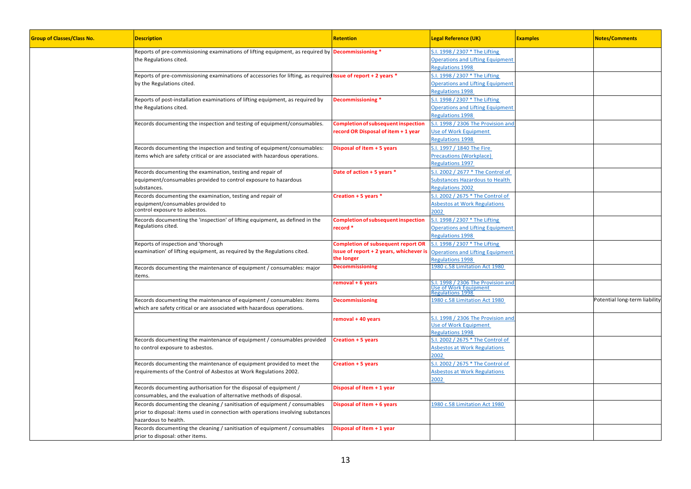| <b>Group of Classes/Class No.</b> | <b>Description</b>                                                                                                   | <b>Retention</b>                           | <b>Legal Reference (UK)</b>                     | <b>Examples</b> | <b>Notes/Comments</b>         |
|-----------------------------------|----------------------------------------------------------------------------------------------------------------------|--------------------------------------------|-------------------------------------------------|-----------------|-------------------------------|
|                                   | Reports of pre-commissioning examinations of lifting equipment, as required by <b>Decommissioning</b> *              |                                            | S.I. 1998 / 2307 * The Lifting                  |                 |                               |
|                                   | the Regulations cited.                                                                                               |                                            | <b>Operations and Lifting Equipment</b>         |                 |                               |
|                                   |                                                                                                                      |                                            | Regulations 1998                                |                 |                               |
|                                   | Reports of pre-commissioning examinations of accessories for lifting, as required <b>Issue of report + 2 years *</b> |                                            | 5.1. 1998 / 2307 * The Lifting                  |                 |                               |
|                                   | by the Regulations cited.                                                                                            |                                            | <b>Operations and Lifting Equipment</b>         |                 |                               |
|                                   |                                                                                                                      |                                            | <b>Regulations 1998</b>                         |                 |                               |
|                                   | Reports of post-installation examinations of lifting equipment, as required by                                       | Decommissioning *                          | 5.1. 1998 / 2307 * The Lifting                  |                 |                               |
|                                   | the Regulations cited.                                                                                               |                                            | <b>Operations and Lifting Equipment</b>         |                 |                               |
|                                   |                                                                                                                      |                                            | <b>Regulations 1998</b>                         |                 |                               |
|                                   | Records documenting the inspection and testing of equipment/consumables.                                             | <b>Completion of subsequent inspection</b> | S.I. 1998 / 2306 The Provision and              |                 |                               |
|                                   |                                                                                                                      | record OR Disposal of item + 1 year        | <b>Jse of Work Equipment</b>                    |                 |                               |
|                                   |                                                                                                                      |                                            | egulations 1998                                 |                 |                               |
|                                   | Records documenting the inspection and testing of equipment/consumables:                                             | Disposal of item + 5 years                 | S.I. 1997 / 1840 The Fire                       |                 |                               |
|                                   | items which are safety critical or are associated with hazardous operations.                                         |                                            | Precautions (Workplace)                         |                 |                               |
|                                   |                                                                                                                      |                                            | Regulations 1997                                |                 |                               |
|                                   |                                                                                                                      |                                            |                                                 |                 |                               |
|                                   | Records documenting the examination, testing and repair of                                                           | Date of action + 5 years *                 | 5.1. 2002 / 2677 * The Control of               |                 |                               |
|                                   | equipment/consumables provided to control exposure to hazardous                                                      |                                            | Substances Hazardous to Health                  |                 |                               |
|                                   | substances.                                                                                                          |                                            | <b>Regulations 2002</b>                         |                 |                               |
|                                   | Records documenting the examination, testing and repair of                                                           | Creation + 5 years *                       | S.I. 2002 / 2675 * The Control of               |                 |                               |
|                                   | equipment/consumables provided to                                                                                    |                                            | <b>Asbestos at Work Regulations</b>             |                 |                               |
|                                   | control exposure to asbestos.                                                                                        |                                            | 2002                                            |                 |                               |
|                                   | Records documenting the 'inspection' of lifting equipment, as defined in the                                         | <b>Completion of subsequent inspection</b> | i.l. 1998 / 2307 * The Lifting                  |                 |                               |
|                                   | Regulations cited.                                                                                                   | record *                                   | <b>Operations and Lifting Equipment</b>         |                 |                               |
|                                   |                                                                                                                      |                                            | Regulations 1998                                |                 |                               |
|                                   | Reports of inspection and 'thorough                                                                                  | <b>Completion of subsequent report OR</b>  | 5.1. 1998 / 2307 * The Lifting                  |                 |                               |
|                                   | examination' of lifting equipment, as required by the Regulations cited.                                             | Issue of report + 2 years, whichever is    | <b>Operations and Lifting Equipment</b>         |                 |                               |
|                                   |                                                                                                                      | the longer                                 | Regulations 1998                                |                 |                               |
|                                   | Records documenting the maintenance of equipment / consumables: major                                                | <b>Decommissioning</b>                     | 1980 c.58 Limitation Act 1980                   |                 |                               |
|                                   | tems.                                                                                                                |                                            |                                                 |                 |                               |
|                                   |                                                                                                                      | removal + 6 years                          | S.I. 1998 / 2306 The Provision and              |                 |                               |
|                                   |                                                                                                                      |                                            | <b>Jse of Work Equipment</b><br>egulations 1998 |                 |                               |
|                                   |                                                                                                                      |                                            | 1980 c.58 Limitation Act 1980                   |                 | Potential long-term liability |
|                                   | Records documenting the maintenance of equipment / consumables: items                                                | <b>Decommissioning</b>                     |                                                 |                 |                               |
|                                   | which are safety critical or are associated with hazardous operations.                                               |                                            |                                                 |                 |                               |
|                                   |                                                                                                                      | removal + 40 years                         | S.I. 1998 / 2306 The Provision and              |                 |                               |
|                                   |                                                                                                                      |                                            | <b>Jse of Work Equipment</b>                    |                 |                               |
|                                   |                                                                                                                      |                                            | Regulations 1998                                |                 |                               |
|                                   | Records documenting the maintenance of equipment / consumables provided                                              | Creation + 5 years                         | 5.1. 2002 / 2675 * The Control of               |                 |                               |
|                                   | to control exposure to asbestos.                                                                                     |                                            | <b>Asbestos at Work Regulations</b>             |                 |                               |
|                                   |                                                                                                                      |                                            | 2002                                            |                 |                               |
|                                   | Records documenting the maintenance of equipment provided to meet the                                                | <b>Creation + 5 years</b>                  | 5.1. 2002 / 2675 * The Control of               |                 |                               |
|                                   | requirements of the Control of Asbestos at Work Regulations 2002.                                                    |                                            | <b>Asbestos at Work Regulations</b>             |                 |                               |
|                                   |                                                                                                                      |                                            | 2002                                            |                 |                               |
|                                   | Records documenting authorisation for the disposal of equipment /                                                    | Disposal of item + 1 year                  |                                                 |                 |                               |
|                                   | consumables, and the evaluation of alternative methods of disposal.                                                  |                                            |                                                 |                 |                               |
|                                   | Records documenting the cleaning / sanitisation of equipment / consumables                                           | Disposal of item + 6 years                 | 1980 c.58 Limitation Act 1980                   |                 |                               |
|                                   | prior to disposal: items used in connection with operations involving substances                                     |                                            |                                                 |                 |                               |
|                                   | hazardous to health.                                                                                                 |                                            |                                                 |                 |                               |
|                                   | Records documenting the cleaning / sanitisation of equipment / consumables                                           | Disposal of item + 1 year                  |                                                 |                 |                               |
|                                   | prior to disposal: other items.                                                                                      |                                            |                                                 |                 |                               |
|                                   |                                                                                                                      |                                            |                                                 |                 |                               |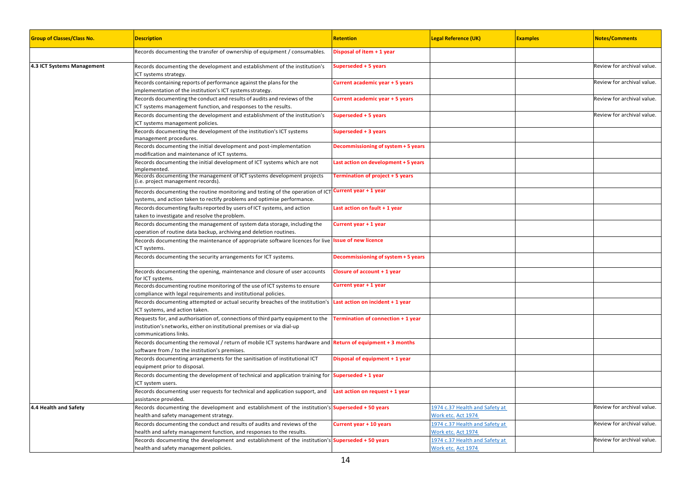| <b>Group of Classes/Class No.</b> | <b>Description</b>                                                                                                                                                                  | <b>Retention</b>                     | <b>Legal Reference (UK)</b>                          | <b>Examples</b> | <b>Notes/Comments</b>      |
|-----------------------------------|-------------------------------------------------------------------------------------------------------------------------------------------------------------------------------------|--------------------------------------|------------------------------------------------------|-----------------|----------------------------|
|                                   | Records documenting the transfer of ownership of equipment / consumables.                                                                                                           | Disposal of item + 1 year            |                                                      |                 |                            |
| 4.3 ICT Systems Management        | Records documenting the development and establishment of the institution's<br>CT systems strategy.                                                                                  | Superseded + 5 years                 |                                                      |                 | Review for archival value. |
|                                   | Records containing reports of performance against the plans for the<br>implementation of the institution's ICT systems strategy.                                                    | Current academic year + 5 years      |                                                      |                 | Review for archival value. |
|                                   | Records documenting the conduct and results of audits and reviews of the<br>ICT systems management function, and responses to the results.                                          | Current academic year + 5 years      |                                                      |                 | Review for archival value. |
|                                   | Records documenting the development and establishment of the institution's<br>ICT systems management policies.                                                                      | Superseded + 5 years                 |                                                      |                 | Review for archival value. |
|                                   | Records documenting the development of the institution's ICT systems<br>management procedures.                                                                                      | Superseded + 3 years                 |                                                      |                 |                            |
|                                   | Records documenting the initial development and post-implementation<br>modification and maintenance of ICT systems.                                                                 | Decommissioning of system + 5 years  |                                                      |                 |                            |
|                                   | Records documenting the initial development of ICT systems which are not<br>mplemented.                                                                                             | Last action on development + 5 years |                                                      |                 |                            |
|                                   | Records documenting the management of ICT systems development projects<br>i.e. project management records).                                                                         | Termination of project + 5 years     |                                                      |                 |                            |
|                                   | Records documenting the routine monitoring and testing of the operation of ICT Current year + 1 year<br>systems, and action taken to rectify problems and optimise performance.     |                                      |                                                      |                 |                            |
|                                   | Records documenting faults reported by users of ICT systems, and action<br>aken to investigate and resolve the problem.                                                             | Last action on fault + 1 year        |                                                      |                 |                            |
|                                   | Records documenting the management of system data storage, including the<br>operation of routine data backup, archiving and deletion routines.                                      | Current year + 1 year                |                                                      |                 |                            |
|                                   | Records documenting the maintenance of appropriate software licences for live Issue of new licence<br>ICT systems.                                                                  |                                      |                                                      |                 |                            |
|                                   | Records documenting the security arrangements for ICT systems.                                                                                                                      | Decommissioning of system + 5 years  |                                                      |                 |                            |
|                                   | Records documenting the opening, maintenance and closure of user accounts<br>or ICT systems.                                                                                        | Closure of account + 1 year          |                                                      |                 |                            |
|                                   | Records documenting routine monitoring of the use of ICT systems to ensure<br>compliance with legal requirements and institutional policies.                                        | Current year + 1 year                |                                                      |                 |                            |
|                                   | Records documenting attempted or actual security breaches of the institution's<br>ICT systems, and action taken.                                                                    | Last action on incident + 1 year     |                                                      |                 |                            |
|                                   | Requests for, and authorisation of, connections of third party equipment to the<br>institution's networks, either on institutional premises or via dial-up<br>communications links. | Termination of connection + 1 year   |                                                      |                 |                            |
|                                   | Records documenting the removal / return of mobile ICT systems hardware and Return of equipment + 3 months<br>software from / to the institution's premises.                        |                                      |                                                      |                 |                            |
|                                   | Records documenting arrangements for the sanitisation of institutional ICT<br>equipment prior to disposal.                                                                          | Disposal of equipment + 1 year       |                                                      |                 |                            |
|                                   | Records documenting the development of technical and application training for <b>Superseded + 1 year</b><br>ICT system users.                                                       |                                      |                                                      |                 |                            |
|                                   | Records documenting user requests for technical and application support, and<br>assistance provided.                                                                                | Last action on request + 1 year      |                                                      |                 |                            |
| 4.4 Health and Safety             | Records documenting the development and establishment of the institution's <b>Superseded + 50 years</b><br>health and safety management strategy.                                   |                                      | 1974 c.37 Health and Safety at<br>Work etc. Act 1974 |                 | Review for archival value. |
|                                   | Records documenting the conduct and results of audits and reviews of the<br>health and safety management function, and responses to the results.                                    | Current year + 10 years              | 1974 c.37 Health and Safety at<br>Work etc. Act 1974 |                 | Review for archival value. |
|                                   | Records documenting the development and establishment of the institution's Superseded + 50 years<br>health and safety management policies.                                          |                                      | 1974 c.37 Health and Safety at<br>Work etc. Act 1974 |                 | Review for archival value. |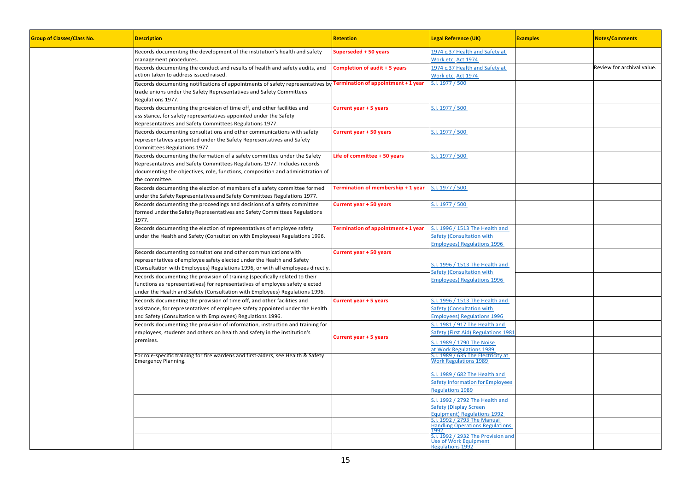| <b>Group of Classes/Class No.</b> | <b>Description</b>                                                                                                                                                                                                                                       | Retention                           | <b>Legal Reference (UK)</b>                                                                                                    | <b>Examples</b> | <b>Notes/Comments</b>      |
|-----------------------------------|----------------------------------------------------------------------------------------------------------------------------------------------------------------------------------------------------------------------------------------------------------|-------------------------------------|--------------------------------------------------------------------------------------------------------------------------------|-----------------|----------------------------|
|                                   | Records documenting the development of the institution's health and safety<br>management procedures.                                                                                                                                                     | Superseded + 50 years               | 1974 c.37 Health and Safety at<br>Nork etc. Act 1974                                                                           |                 |                            |
|                                   | Records documenting the conduct and results of health and safety audits, and<br>action taken to address issued raised.                                                                                                                                   | Completion of audit + 5 years       | 1974 c.37 Health and Safety at<br><b>Nork etc. Act 1974</b>                                                                    |                 | Review for archival value. |
|                                   | Records documenting notifications of appointments of safety representatives by<br>trade unions under the Safety Representatives and Safety Committees<br>Regulations 1977.                                                                               | Termination of appointment + 1 year | S.I. 1977 / 500                                                                                                                |                 |                            |
|                                   | Records documenting the provision of time off, and other facilities and<br>assistance, for safety representatives appointed under the Safety<br>Representatives and Safety Committees Regulations 1977.                                                  | Current year + 5 years              | S.I. 1977 / 500                                                                                                                |                 |                            |
|                                   | Records documenting consultations and other communications with safety<br>representatives appointed under the Safety Representatives and Safety<br>Committees Regulations 1977.                                                                          | Current year + 50 years             | S.I. 1977 / 500                                                                                                                |                 |                            |
|                                   | Records documenting the formation of a safety committee under the Safety<br>Representatives and Safety Committees Regulations 1977. Includes records<br>documenting the objectives, role, functions, composition and administration of<br>the committee. | Life of committee + 50 years        | S.I. 1977 / 500                                                                                                                |                 |                            |
|                                   | Records documenting the election of members of a safety committee formed<br>under the Safety Representatives and Safety Committees Regulations 1977.                                                                                                     | Termination of membership + 1 year  | S.I. 1977 / 500                                                                                                                |                 |                            |
|                                   | Records documenting the proceedings and decisions of a safety committee<br>formed under the Safety Representatives and Safety Committees Regulations<br>1977.                                                                                            | Current year + 50 years             | S.I. 1977 / 500                                                                                                                |                 |                            |
|                                   | Records documenting the election of representatives of employee safety<br>under the Health and Safety (Consultation with Employees) Regulations 1996.                                                                                                    | Termination of appointment + 1 year | S.I. 1996 / 1513 The Health and<br>Safety (Consultation with<br><b>Employees) Regulations 1996</b>                             |                 |                            |
|                                   | Records documenting consultations and other communications with<br>representatives of employee safety elected under the Health and Safety<br>Consultation with Employees) Regulations 1996, or with all employees directly.                              | Current year + 50 years             | S.I. 1996 / 1513 The Health and<br>Safety (Consultation with                                                                   |                 |                            |
|                                   | Records documenting the provision of training (specifically related to their<br>functions as representatives) for representatives of employee safety elected<br>under the Health and Safety (Consultation with Employees) Regulations 1996.              |                                     | <b>Employees) Regulations 1996</b>                                                                                             |                 |                            |
|                                   | Records documenting the provision of time off, and other facilities and<br>assistance, for representatives of employee safety appointed under the Health<br>and Safety (Consultation with Employees) Regulations 1996.                                   | Current year + 5 years              | S.I. 1996 / 1513 The Health and<br>Safety (Consultation with<br><b>Employees) Regulations 1996</b>                             |                 |                            |
|                                   | Records documenting the provision of information, instruction and training for<br>employees, students and others on health and safety in the institution's<br>premises.                                                                                  | Current year + 5 years              | S.I. 1981 / 917 The Health and<br>Safety (First Aid) Regulations 1981<br>S.I. 1989 / 1790 The Noise                            |                 |                            |
|                                   | For role-specific training for fire wardens and first-aiders, see Health & Safety<br>Emergency Planning.                                                                                                                                                 |                                     | at Work Regulations 1989<br>S.I. 1989 / 635 The Electricity at<br><b>Nork Regulations 1989</b>                                 |                 |                            |
|                                   |                                                                                                                                                                                                                                                          |                                     | S.I. 1989 / 682 The Health and<br>Safety Information for Employees<br>Regulations 1989                                         |                 |                            |
|                                   |                                                                                                                                                                                                                                                          |                                     | S.I. 1992 / 2792 The Health and<br>Safety (Display Screen<br><b>Equipment) Regulations 1992</b><br>S.I. 1992 / 2793 The Manual |                 |                            |
|                                   |                                                                                                                                                                                                                                                          |                                     | <b>Handling Operations Regulations</b><br>רמם ו<br>S.I. 1992 / 2932 The Provision and                                          |                 |                            |
|                                   |                                                                                                                                                                                                                                                          |                                     | <b>Jse of Work Equipment</b><br>Regulations 1992                                                                               |                 |                            |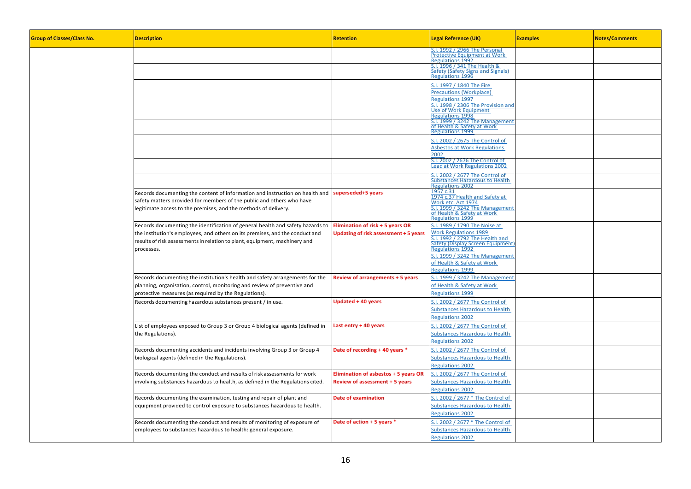| <b>Group of Classes/Class No.</b> | <b>Description</b>                                                                                                                                                                                                                                         | <b>Retention</b>                                                                     | <b>Legal Reference (UK)</b>                                                                                                                                                                                                                      | <b>Examples</b> | <b>Notes/Comments</b> |
|-----------------------------------|------------------------------------------------------------------------------------------------------------------------------------------------------------------------------------------------------------------------------------------------------------|--------------------------------------------------------------------------------------|--------------------------------------------------------------------------------------------------------------------------------------------------------------------------------------------------------------------------------------------------|-----------------|-----------------------|
|                                   |                                                                                                                                                                                                                                                            |                                                                                      | S.I. 1992 / 2966 The Personal<br><b>Protective Equipment at Work</b><br>Regulations 1992                                                                                                                                                         |                 |                       |
|                                   |                                                                                                                                                                                                                                                            |                                                                                      | S.I. 1996 / 341 The Health &<br>Safety (Safety Signs and Signals)<br>Regulations 1996                                                                                                                                                            |                 |                       |
|                                   |                                                                                                                                                                                                                                                            |                                                                                      | S.I. 1997 / 1840 The Fire<br><b>Precautions (Workplace)</b><br><b>Regulations 1997</b>                                                                                                                                                           |                 |                       |
|                                   |                                                                                                                                                                                                                                                            |                                                                                      | S.I. 1998 / 2306 The Provision and<br><b>Jse of Work Equipment</b><br>egulations 1998                                                                                                                                                            |                 |                       |
|                                   |                                                                                                                                                                                                                                                            |                                                                                      | S.I. 1999 / 3242 The Managemen<br>of Health & Safety at Work<br><b>Regulations 1999</b>                                                                                                                                                          |                 |                       |
|                                   |                                                                                                                                                                                                                                                            |                                                                                      | S.I. 2002 / 2675 The Control of<br><b>Asbestos at Work Regulations</b><br>2002                                                                                                                                                                   |                 |                       |
|                                   |                                                                                                                                                                                                                                                            |                                                                                      | S.I. 2002 / 2676 The Control of<br>Lead at Work Regulations 2002                                                                                                                                                                                 |                 |                       |
|                                   |                                                                                                                                                                                                                                                            |                                                                                      | I. 2002 / 2677 The Control of<br>ubstances Hazardous to Health<br>Regulations 2002                                                                                                                                                               |                 |                       |
|                                   | Records documenting the content of information and instruction on health and<br>safety matters provided for members of the public and others who have<br>legitimate access to the premises, and the methods of delivery.                                   | superseded+5 years                                                                   | 1957 c.31<br>1974 c.37 Health and Safety at<br>Nork etc. Act 1974<br>s.<br>I. 1999 / 3242 The Management<br>of Health & Safety at Work<br>Regulations 1999                                                                                       |                 |                       |
|                                   | Records documenting the identification of general health and safety hazards to<br>the institution's employees, and others on its premises, and the conduct and<br>results of risk assessments in relation to plant, equipment, machinery and<br>processes. | Elimination of risk + 5 years OR<br>Updating of risk assessment + 5 years            | S.I. 1989 / 1790 The Noise at<br><b>Work Regulations 1989</b><br>1992 / 2792 The Health and<br>Safety (Display Screen Equipment)<br>Regulations 1992<br>S.I. 1999 / 3242 The Management<br>of Health & Safety at Work<br><b>Regulations 1999</b> |                 |                       |
|                                   | Records documenting the institution's health and safety arrangements for the<br>planning, organisation, control, monitoring and review of preventive and<br>protective measures (as required by the Regulations).                                          | <b>Review of arrangements + 5 years</b>                                              | S.I. 1999 / 3242 The Management<br>of Health & Safety at Work<br><b>Regulations 1999</b>                                                                                                                                                         |                 |                       |
|                                   | Records documenting hazardous substances present / in use.                                                                                                                                                                                                 | <b>Updated + 40 years</b>                                                            | S.I. 2002 / 2677 The Control of<br><b>Substances Hazardous to Health</b><br><b>Regulations 2002</b>                                                                                                                                              |                 |                       |
|                                   | List of employees exposed to Group 3 or Group 4 biological agents (defined in<br>the Regulations).                                                                                                                                                         | Last entry + 40 years                                                                | S.I. 2002 / 2677 The Control of<br><b>Substances Hazardous to Health</b><br><b>Regulations 2002</b>                                                                                                                                              |                 |                       |
|                                   | Records documenting accidents and incidents involving Group 3 or Group 4<br>biological agents (defined in the Regulations).                                                                                                                                | Date of recording + 40 years *                                                       | S.I. 2002 / 2677 The Control of<br><b>Substances Hazardous to Health</b><br><b>Regulations 2002</b>                                                                                                                                              |                 |                       |
|                                   | Records documenting the conduct and results of risk assessments for work<br>involving substances hazardous to health, as defined in the Regulations cited.                                                                                                 | <b>Elimination of asbestos + 5 years OR</b><br><b>Review of assessment + 5 years</b> | .I. 2002 / 2677 The Control of<br><b>Substances Hazardous to Health</b><br><b>Regulations 2002</b>                                                                                                                                               |                 |                       |
|                                   | Records documenting the examination, testing and repair of plant and<br>equipment provided to control exposure to substances hazardous to health.                                                                                                          | <b>Date of examination</b>                                                           | S.I. 2002 / 2677 * The Control of<br><b>Substances Hazardous to Health</b><br><b>Regulations 2002</b>                                                                                                                                            |                 |                       |
|                                   | Records documenting the conduct and results of monitoring of exposure of<br>employees to substances hazardous to health: general exposure.                                                                                                                 | Date of action + 5 years *                                                           | S.I. 2002 / 2677 * The Control of<br><b>Substances Hazardous to Health</b><br><b>Regulations 2002</b>                                                                                                                                            |                 |                       |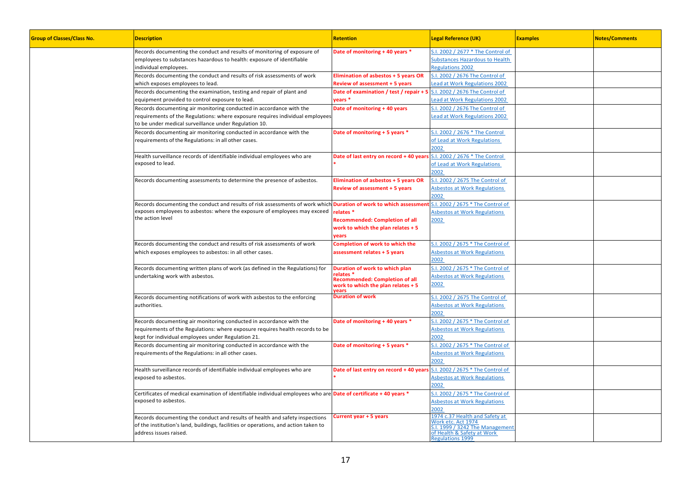| <b>Group of Classes/Class No.</b> | <b>Description</b>                                                                                                        | <b>Retention</b>                                   | <b>Legal Reference (UK)</b>                              | <b>Examples</b> | <b>Notes/Comments</b> |
|-----------------------------------|---------------------------------------------------------------------------------------------------------------------------|----------------------------------------------------|----------------------------------------------------------|-----------------|-----------------------|
|                                   | Records documenting the conduct and results of monitoring of exposure of                                                  | Date of monitoring + 40 years *                    | S.I. 2002 / 2677 * The Control of                        |                 |                       |
|                                   | employees to substances hazardous to health: exposure of identifiable                                                     |                                                    | Substances Hazardous to Health                           |                 |                       |
|                                   | individual employees.                                                                                                     |                                                    | <b>Regulations 2002</b>                                  |                 |                       |
|                                   | Records documenting the conduct and results of risk assessments of work                                                   | <b>Elimination of asbestos + 5 years OR</b>        | S.I. 2002 / 2676 The Control of                          |                 |                       |
|                                   | which exposes employees to lead.                                                                                          | <b>Review of assessment + 5 years</b>              | ead at Work Regulations 2002                             |                 |                       |
|                                   | Records documenting the examination, testing and repair of plant and                                                      | Date of examination / test / repair + 5            | S.I. 2002 / 2676 The Control of                          |                 |                       |
|                                   |                                                                                                                           |                                                    |                                                          |                 |                       |
|                                   | equipment provided to control exposure to lead.                                                                           | vears *                                            | ead at Work Regulations 2002                             |                 |                       |
|                                   | Records documenting air monitoring conducted in accordance with the                                                       | Date of monitoring + 40 years                      | S.I. 2002 / 2676 The Control of                          |                 |                       |
|                                   | requirements of the Regulations: where exposure requires individual employees                                             |                                                    | ead at Work Regulations 2002                             |                 |                       |
|                                   | to be under medical surveillance under Regulation 10.                                                                     |                                                    |                                                          |                 |                       |
|                                   | Records documenting air monitoring conducted in accordance with the                                                       | Date of monitoring + 5 years *                     | 5.1. 2002 / 2676 * The Control                           |                 |                       |
|                                   | requirements of the Regulations: in all other cases.                                                                      |                                                    | of Lead at Work Regulations                              |                 |                       |
|                                   |                                                                                                                           |                                                    | 2002                                                     |                 |                       |
|                                   | Health surveillance records of identifiable individual employees who are                                                  | Date of last entry on record + 40 years            | S.I. 2002 / 2676 * The Control                           |                 |                       |
|                                   | exposed to lead.                                                                                                          |                                                    | of Lead at Work Regulations                              |                 |                       |
|                                   |                                                                                                                           |                                                    | 2002                                                     |                 |                       |
|                                   | Records documenting assessments to determine the presence of asbestos.                                                    | Elimination of asbestos + 5 years OR               | S.I. 2002 / 2675 The Control of                          |                 |                       |
|                                   |                                                                                                                           | <b>Review of assessment + 5 years</b>              | <b>Asbestos at Work Regulations</b>                      |                 |                       |
|                                   |                                                                                                                           |                                                    | 2002                                                     |                 |                       |
|                                   | Records documenting the conduct and results of risk assessments of work which <b>Duration of work to which assessment</b> |                                                    | S.I. 2002 / 2675 * The Control of                        |                 |                       |
|                                   | exposes employees to asbestos: where the exposure of employees may exceed                                                 | relates *                                          | <b>Asbestos at Work Regulations</b>                      |                 |                       |
|                                   | the action level                                                                                                          |                                                    | 2002                                                     |                 |                       |
|                                   |                                                                                                                           | <b>Recommended: Completion of all</b>              |                                                          |                 |                       |
|                                   |                                                                                                                           | work to which the plan relates + 5<br>vears        |                                                          |                 |                       |
|                                   | Records documenting the conduct and results of risk assessments of work                                                   | Completion of work to which the                    | 5.1. 2002 / 2675 * The Control of                        |                 |                       |
|                                   | which exposes employees to asbestos: in all other cases.                                                                  | assessment relates + 5 years                       | <b>Asbestos at Work Regulations</b>                      |                 |                       |
|                                   |                                                                                                                           |                                                    | 2002                                                     |                 |                       |
|                                   | Records documenting written plans of work (as defined in the Regulations) for                                             | Duration of work to which plan                     | S.I. 2002 / 2675 * The Control of                        |                 |                       |
|                                   | undertaking work with asbestos.                                                                                           | relates *<br><b>Recommended: Completion of all</b> | <b>Asbestos at Work Regulations</b>                      |                 |                       |
|                                   |                                                                                                                           | work to which the plan relates + 5                 | 2002                                                     |                 |                       |
|                                   |                                                                                                                           | vears<br><b>Duration of work</b>                   | S.I. 2002 / 2675 The Control of                          |                 |                       |
|                                   | Records documenting notifications of work with asbestos to the enforcing                                                  |                                                    | <b>Asbestos at Work Regulations</b>                      |                 |                       |
|                                   | authorities.                                                                                                              |                                                    |                                                          |                 |                       |
|                                   |                                                                                                                           |                                                    | 2002                                                     |                 |                       |
|                                   | Records documenting air monitoring conducted in accordance with the                                                       | Date of monitoring + 40 years *                    | S.I. 2002 / 2675 * The Control of                        |                 |                       |
|                                   | equirements of the Regulations: where exposure requires health records to be                                              |                                                    | <b>Asbestos at Work Regulations</b>                      |                 |                       |
|                                   | kept for individual employees under Regulation 21.                                                                        |                                                    | 2002                                                     |                 |                       |
|                                   | Records documenting air monitoring conducted in accordance with the                                                       | Date of monitoring + 5 years *                     | S.I. 2002 / 2675 * The Control of                        |                 |                       |
|                                   | requirements of the Regulations: in all other cases.                                                                      |                                                    | <b>Asbestos at Work Regulations</b>                      |                 |                       |
|                                   |                                                                                                                           |                                                    | 2002                                                     |                 |                       |
|                                   | Health surveillance records of identifiable individual employees who are                                                  | Date of last entry on record + 40 years            | S.I. 2002 / 2675 * The Control of                        |                 |                       |
|                                   | exposed to asbestos.                                                                                                      |                                                    | <b>Asbestos at Work Regulations</b>                      |                 |                       |
|                                   |                                                                                                                           |                                                    | 2002                                                     |                 |                       |
|                                   | Certificates of medical examination of identifiable individual employees who are <b>Date of certificate + 40 years *</b>  |                                                    | S.I. 2002 / 2675 * The Control of                        |                 |                       |
|                                   | exposed to asbestos.                                                                                                      |                                                    | <b>Asbestos at Work Regulations</b>                      |                 |                       |
|                                   |                                                                                                                           |                                                    | 2002                                                     |                 |                       |
|                                   | Records documenting the conduct and results of health and safety inspections                                              | <b>Current year + 5 years</b>                      | 1974 c.37 Health and Safety at                           |                 |                       |
|                                   | of the institution's land, buildings, facilities or operations, and action taken to                                       |                                                    | Vork etc. Act 1974                                       |                 |                       |
|                                   | address issues raised.                                                                                                    |                                                    | 1999 / 3242 The Management<br>of Health & Safety at Work |                 |                       |
|                                   |                                                                                                                           |                                                    | Regulations 1999                                         |                 |                       |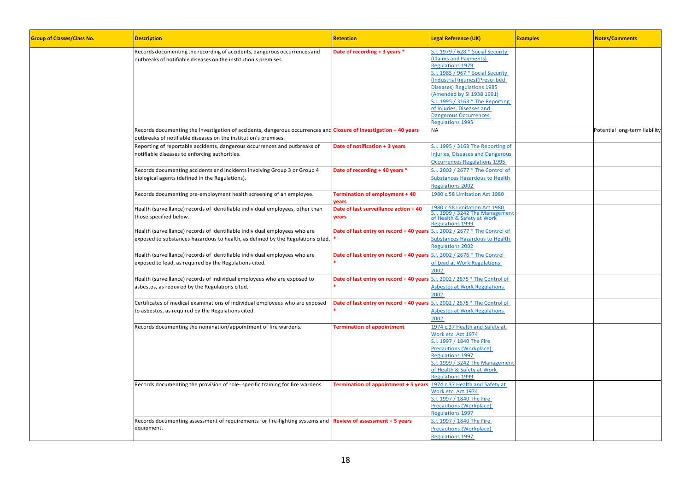| <b>Group of Classes/Class No.</b> | <b>Description</b>                                                                                                                                            | <b>Retention</b>                                                      | <b>Legal Reference (UK)</b>                                                                                                                                                                                                                                                                                                                     | <b>Examples</b> | <b>Notes/Comments</b>         |
|-----------------------------------|---------------------------------------------------------------------------------------------------------------------------------------------------------------|-----------------------------------------------------------------------|-------------------------------------------------------------------------------------------------------------------------------------------------------------------------------------------------------------------------------------------------------------------------------------------------------------------------------------------------|-----------------|-------------------------------|
|                                   | Records documenting the recording of accidents, dangerous occurrences and<br>outbreaks of notifiable diseases on the institution's premises.                  | Date of recording + 3 years *                                         | S.I. 1979 / 628 * Social Security<br><b>Claims and Payments)</b><br><b>Regulations 1979</b><br>1985 / 967 * Social Security<br>Industrial Injuries)(Prescribed<br>Diseases) Regulations 1985<br>Amended by SI 1938 1991)<br>1995 / 3163 * The Reporting<br>of Injuries, Diseases and<br><b>Dangerous Occurrences</b><br><b>Regulations 1995</b> |                 |                               |
|                                   | Records documenting the investigation of accidents, dangerous occurrences and <b>Closure of investigation +40 years</b>                                       |                                                                       | <b>NA</b>                                                                                                                                                                                                                                                                                                                                       |                 | Potential long-term liability |
|                                   | outbreaks of notifiable diseases on the institution's premises.                                                                                               |                                                                       |                                                                                                                                                                                                                                                                                                                                                 |                 |                               |
|                                   | Reporting of reportable accidents, dangerous occurrences and outbreaks of<br>notifiable diseases to enforcing authorities.                                    | Date of notification + 3 years                                        | S.I. 1995 / 3163 The Reporting of<br>njuries, Diseases and Dangerous<br><b>Occurrences Regulations 1995</b>                                                                                                                                                                                                                                     |                 |                               |
|                                   | Records documenting accidents and incidents involving Group 3 or Group 4<br>biological agents (defined in the Regulations).                                   | Date of recording + 40 years *                                        | 5.1. 2002 / 2677 * The Control of<br>Substances Hazardous to Health<br><b>Regulations 2002</b>                                                                                                                                                                                                                                                  |                 |                               |
|                                   | Records documenting pre-employment health screening of an employee.                                                                                           | <b>Termination of employment + 40</b><br>vears                        | 1980 c.58 Limitation Act 1980                                                                                                                                                                                                                                                                                                                   |                 |                               |
|                                   | Health (surveillance) records of identifiable individual employees, other than<br>those specified below.                                                      | Date of last surveillance action + 40<br>years                        | 1980 c.58 Limitation Act 1980<br><b>S.I. 1999 / 3242 The Management</b><br>of Health & Safety at Work<br><b>Regulations 1999</b>                                                                                                                                                                                                                |                 |                               |
|                                   | Health (surveillance) records of identifiable individual employees who are<br>exposed to substances hazardous to health, as defined by the Regulations cited. | Date of last entry on record + 40 years                               | S.I. 2002 / 2677 * The Control of<br><b>Substances Hazardous to Health</b><br><b>Regulations 2002</b>                                                                                                                                                                                                                                           |                 |                               |
|                                   | Health (surveillance) records of identifiable individual employees who are<br>exposed to lead, as required by the Regulations cited.                          | Date of last entry on record +40 years S.I. 2002 / 2676 * The Control | of Lead at Work Regulations<br>2002                                                                                                                                                                                                                                                                                                             |                 |                               |
|                                   | Health (surveillance) records of individual employees who are exposed to<br>asbestos, as required by the Regulations cited.                                   | Date of last entry on record + 40 years                               | S.I. 2002 / 2675 * The Control of<br><b>Asbestos at Work Regulations</b><br>2002                                                                                                                                                                                                                                                                |                 |                               |
|                                   | Certificates of medical examinations of individual employees who are exposed<br>to asbestos, as required by the Regulations cited.                            | Date of last entry on record + 40 years                               | S.I. 2002 / 2675 * The Control of<br><b>Asbestos at Work Regulations</b><br>2002                                                                                                                                                                                                                                                                |                 |                               |
|                                   | Records documenting the nomination/appointment of fire wardens.                                                                                               | <b>Termination of appointment</b>                                     | 1974 c.37 Health and Safety at<br>Vork etc. Act 1974<br>S.I. 1997 / 1840 The Fire<br>Precautions (Workplace)<br>Regulations 1997<br>5.1. 1999 / 3242 The Management<br>of Health & Safety at Work<br><b>Regulations 1999</b>                                                                                                                    |                 |                               |
|                                   | Records documenting the provision of role-specific training for fire wardens.                                                                                 | Termination of appointment + 5 years                                  | 1974 c.37 Health and Safety at<br>Work etc. Act 1974<br>5.1. 1997 / 1840 The Fire<br><b>Precautions (Workplace)</b><br>Regulations 1997                                                                                                                                                                                                         |                 |                               |
|                                   | Records documenting assessment of requirements for fire-fighting systems and Review of assessment + 5 years<br>equipment.                                     |                                                                       | S.I. 1997 / 1840 The Fire<br>Precautions (Workplace)<br><b>Regulations 1997</b>                                                                                                                                                                                                                                                                 |                 |                               |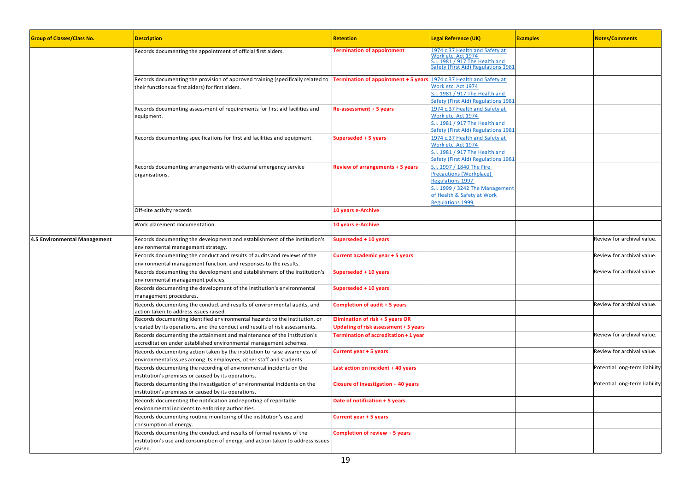| <b>Group of Classes/Class No.</b> | <b>Description</b>                                                                                                                                                 | <b>Retention</b>                                                          | <b>Legal Reference (UK)</b>                                                                                                                                  | <b>Examples</b> | <b>Notes/Comments</b>         |
|-----------------------------------|--------------------------------------------------------------------------------------------------------------------------------------------------------------------|---------------------------------------------------------------------------|--------------------------------------------------------------------------------------------------------------------------------------------------------------|-----------------|-------------------------------|
|                                   | Records documenting the appointment of official first aiders.                                                                                                      | <b>Termination of appointment</b>                                         | 1974 c.37 Health and Safety at<br>Vork etc. Act 1974<br>1981 / 917 The Health and<br>afety (First Aid) Regulations 1981                                      |                 |                               |
|                                   | Records documenting the provision of approved training (specifically related to<br>their functions as first aiders) for first aiders.                              | Termination of appointment + 5 years                                      | 1974 c.37 Health and Safety at<br>Work etc. Act 1974<br>1981 / 917 The Health and<br>Gafety (First Aid) Regulations 1981                                     |                 |                               |
|                                   | Records documenting assessment of requirements for first aid facilities and<br>equipment.                                                                          | Re-assessment + 5 years                                                   | 1974 c.37 Health and Safety at<br>Work etc. Act 1974<br>1981 / 917 The Health and<br>Safety (First Aid) Regulations 1981                                     |                 |                               |
|                                   | Records documenting specifications for first aid facilities and equipment.                                                                                         | Superseded + 5 years                                                      | 1974 c.37 Health and Safety at<br>Work etc. Act 1974<br>S.I. 1981 / 917 The Health and<br>Safety (First Aid) Regulations 1981                                |                 |                               |
|                                   | Records documenting arrangements with external emergency service<br>organisations.                                                                                 | <b>Review of arrangements + 5 years</b>                                   | S.I. 1997 / 1840 The Fire<br>Precautions (Workplace)<br>Regulations 1997<br>.I. 1999 / 3242 The Management<br>of Health & Safety at Work<br>Regulations 1999 |                 |                               |
|                                   | Off-site activity records                                                                                                                                          | 10 years e-Archive                                                        |                                                                                                                                                              |                 |                               |
|                                   | Work placement documentation                                                                                                                                       | 10 years e-Archive                                                        |                                                                                                                                                              |                 |                               |
| 4.5 Environmental Management      | Records documenting the development and establishment of the institution's<br>environmental management strategy.                                                   | superseded + 10 years                                                     |                                                                                                                                                              |                 | Review for archival value.    |
|                                   | Records documenting the conduct and results of audits and reviews of the<br>environmental management function, and responses to the results.                       | Current academic year + 5 years                                           |                                                                                                                                                              |                 | Review for archival value.    |
|                                   | Records documenting the development and establishment of the institution's<br>environmental management policies.                                                   | Superseded + 10 years                                                     |                                                                                                                                                              |                 | Review for archival value.    |
|                                   | Records documenting the development of the institution's environmental<br>management procedures.                                                                   | Superseded + 10 years                                                     |                                                                                                                                                              |                 |                               |
|                                   | Records documenting the conduct and results of environmental audits, and<br>action taken to address issues raised.                                                 | Completion of audit + 5 years                                             |                                                                                                                                                              |                 | Review for archival value.    |
|                                   | Records documenting identified environmental hazards to the institution, or<br>created by its operations, and the conduct and results of risk assessments.         | Elimination of risk + 5 years OR<br>Updating of risk assessment + 5 years |                                                                                                                                                              |                 |                               |
|                                   | Records documenting the attainment and maintenance of the institution's<br>accreditation under established environmental management schemes.                       | <b>Termination of accreditation + 1 year</b>                              |                                                                                                                                                              |                 | Review for archival value.    |
|                                   | Records documenting action taken by the institution to raise awareness of<br>environmental issues among its employees, other staff and students.                   | Current year + 5 years                                                    |                                                                                                                                                              |                 | Review for archival value.    |
|                                   | Records documenting the recording of environmental incidents on the<br>institution's premises or caused by its operations.                                         | Last action on incident + 40 years                                        |                                                                                                                                                              |                 | Potential long-term liability |
|                                   | Records documenting the investigation of environmental incidents on the<br>nstitution's premises or caused by its operations.                                      | <b>Closure of investigation + 40 years</b>                                |                                                                                                                                                              |                 | Potential long-term liability |
|                                   | Records documenting the notification and reporting of reportable<br>environmental incidents to enforcing authorities.                                              | Date of notification + 5 years                                            |                                                                                                                                                              |                 |                               |
|                                   | Records documenting routine monitoring of the institution's use and<br>consumption of energy.                                                                      | Current year + 5 years                                                    |                                                                                                                                                              |                 |                               |
|                                   | Records documenting the conduct and results of formal reviews of the<br>institution's use and consumption of energy, and action taken to address issues<br>raised. | Completion of review + 5 years                                            |                                                                                                                                                              |                 |                               |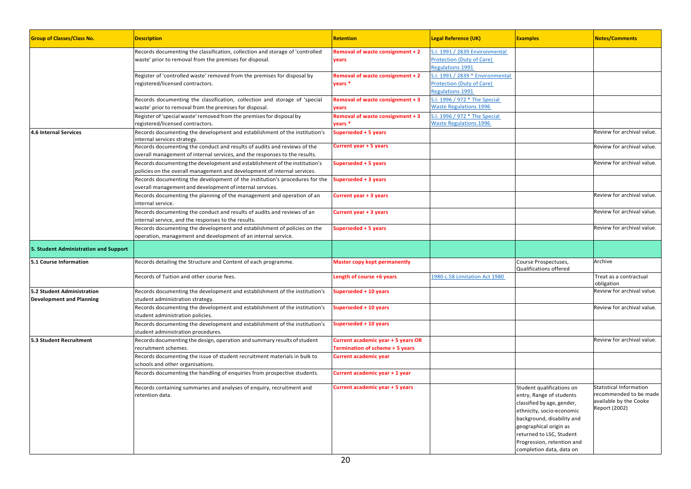| <b>Group of Classes/Class No.</b>                             | <b>Description</b>                                                                                                                                     | Retention                                                             | <b>Legal Reference (UK)</b>                                                                     | <b>Examples</b>                                                                                                                                                                                                                                                | <b>Notes/Comments</b>                                                                        |
|---------------------------------------------------------------|--------------------------------------------------------------------------------------------------------------------------------------------------------|-----------------------------------------------------------------------|-------------------------------------------------------------------------------------------------|----------------------------------------------------------------------------------------------------------------------------------------------------------------------------------------------------------------------------------------------------------------|----------------------------------------------------------------------------------------------|
|                                                               | Records documenting the classification, collection and storage of 'controlled<br>waste' prior to removal from the premises for disposal.               | Removal of waste consignment + 2<br>years                             | S.I. 1991 / 2839 Environmental<br><b>Protection (Duty of Care)</b><br><b>Regulations 1991</b>   |                                                                                                                                                                                                                                                                |                                                                                              |
|                                                               | Register of 'controlled waste' removed from the premises for disposal by<br>registered/licensed contractors.                                           | Removal of waste consignment + 2<br>years <sup>*</sup>                | S.I. 1991 / 2839 * Environmental<br><b>Protection (Duty of Care)</b><br><b>Regulations 1991</b> |                                                                                                                                                                                                                                                                |                                                                                              |
|                                                               | Records documenting the classification, collection and storage of 'special<br>waste' prior to removal from the premises for disposal.                  | Removal of waste consignment + 3<br>vears                             | S.I. 1996 / 972 * The Special<br><b>Waste Regulations 1996</b>                                  |                                                                                                                                                                                                                                                                |                                                                                              |
|                                                               | Register of 'special waste' removed from the premises for disposal by<br>registered/licensed contractors.                                              | Removal of waste consignment + 3<br>vears *                           | S.I. 1996 / 972 * The Special<br><b>Waste Regulations 1996</b>                                  |                                                                                                                                                                                                                                                                |                                                                                              |
| 4.6 Internal Services                                         | Records documenting the development and establishment of the institution's<br>internal services strategy.                                              | Superseded + 5 years                                                  |                                                                                                 |                                                                                                                                                                                                                                                                | Review for archival value.                                                                   |
|                                                               | Records documenting the conduct and results of audits and reviews of the<br>overall management of internal services, and the responses to the results. | <b>Current year + 5 years</b>                                         |                                                                                                 |                                                                                                                                                                                                                                                                | Review for archival value.                                                                   |
|                                                               | Records documenting the development and establishment of the institution's<br>policies on the overall management and development of internal services. | Superseded + 5 years                                                  |                                                                                                 |                                                                                                                                                                                                                                                                | Review for archival value.                                                                   |
|                                                               | Records documenting the development of the institution's procedures for the<br>overall management and development of internal services.                | uperseded + 3 years                                                   |                                                                                                 |                                                                                                                                                                                                                                                                |                                                                                              |
|                                                               | Records documenting the planning of the management and operation of an<br>internal service.                                                            | Current year + 3 years                                                |                                                                                                 |                                                                                                                                                                                                                                                                | Review for archival value.                                                                   |
|                                                               | Records documenting the conduct and results of audits and reviews of an<br>internal service, and the responses to the results.                         | Current year + 3 years                                                |                                                                                                 |                                                                                                                                                                                                                                                                | Review for archival value.                                                                   |
|                                                               | Records documenting the development and establishment of policies on the<br>operation, management and development of an internal service.              | Superseded + 5 years                                                  |                                                                                                 |                                                                                                                                                                                                                                                                | Review for archival value.                                                                   |
| 5. Student Administration and Support                         |                                                                                                                                                        |                                                                       |                                                                                                 |                                                                                                                                                                                                                                                                |                                                                                              |
| 5.1 Course Information                                        | Records detailing the Structure and Content of each programme.                                                                                         | Master copy kept permanently                                          |                                                                                                 | Course Prospectuses,<br>Qualifications offered                                                                                                                                                                                                                 | Archive                                                                                      |
|                                                               | Records of Tuition and other course fees.                                                                                                              | Length of course +6 years                                             | 1980 c.58 Limitation Act 1980                                                                   |                                                                                                                                                                                                                                                                | Treat as a contractual<br>obligation                                                         |
| 5.2 Student Administration<br><b>Development and Planning</b> | Records documenting the development and establishment of the institution's<br>student administration strategy.                                         | superseded + 10 years                                                 |                                                                                                 |                                                                                                                                                                                                                                                                | Review for archival value.                                                                   |
|                                                               | Records documenting the development and establishment of the institution's<br>student administration policies.                                         | Superseded + 10 years                                                 |                                                                                                 |                                                                                                                                                                                                                                                                | Review for archival value.                                                                   |
|                                                               | Records documenting the development and establishment of the institution's<br>student administration procedures.                                       | uperseded + 10 years                                                  |                                                                                                 |                                                                                                                                                                                                                                                                |                                                                                              |
| 5.3 Student Recruitment                                       | Records documenting the design, operation and summary results of student<br>recruitment schemes.                                                       | Current academic year + 5 years OR<br>Termination of scheme + 5 years |                                                                                                 |                                                                                                                                                                                                                                                                | Review for archival value.                                                                   |
|                                                               | Records documenting the issue of student recruitment materials in bulk to<br>schools and other organisations.                                          | <b>Current academic year</b>                                          |                                                                                                 |                                                                                                                                                                                                                                                                |                                                                                              |
|                                                               | Records documenting the handling of enquiries from prospective students.                                                                               | Current academic year + 1 year                                        |                                                                                                 |                                                                                                                                                                                                                                                                |                                                                                              |
|                                                               | Records containing summaries and analyses of enquiry, recruitment and<br>retention data.                                                               | Current academic year + 5 years                                       |                                                                                                 | Student qualifications on<br>entry, Range of students<br>classified by age, gender,<br>ethnicity, socio-economic<br>background, disability and<br>geographical origin as<br>returned to LSC, Student<br>Progression, retention and<br>completion data, data on | Statistical Information<br>recommended to be made<br>available by the Cooke<br>Report (2002) |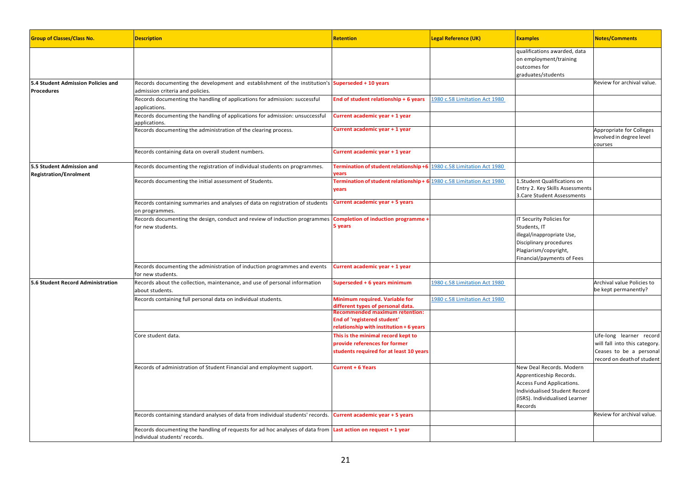| <b>Group of Classes/Class No.</b>                          | <b>Description</b>                                                                                                                                    | <b>Retention</b>                                                                                                                                   | <b>Legal Reference (UK)</b>   | <b>Examples</b>                                                                                                                                                | <b>Notes/Comments</b>                                                                                              |
|------------------------------------------------------------|-------------------------------------------------------------------------------------------------------------------------------------------------------|----------------------------------------------------------------------------------------------------------------------------------------------------|-------------------------------|----------------------------------------------------------------------------------------------------------------------------------------------------------------|--------------------------------------------------------------------------------------------------------------------|
|                                                            |                                                                                                                                                       |                                                                                                                                                    |                               | qualifications awarded, data<br>on employment/training<br>outcomes for<br>graduates/students                                                                   |                                                                                                                    |
| 5.4 Student Admission Policies and<br><b>Procedures</b>    | Records documenting the development and establishment of the institution's Superseded + 10 years<br>admission criteria and policies.                  |                                                                                                                                                    |                               |                                                                                                                                                                | Review for archival value.                                                                                         |
|                                                            | Records documenting the handling of applications for admission: successful<br>applications.                                                           | End of student relationship + 6 years                                                                                                              | 1980 c.58 Limitation Act 1980 |                                                                                                                                                                |                                                                                                                    |
|                                                            | Records documenting the handling of applications for admission: unsuccessful<br>applications.                                                         | Current academic year + 1 year                                                                                                                     |                               |                                                                                                                                                                |                                                                                                                    |
|                                                            | Records documenting the administration of the clearing process.                                                                                       | Current academic year + 1 year                                                                                                                     |                               |                                                                                                                                                                | Appropriate for Colleges<br>involved in degree level<br>courses                                                    |
|                                                            | Records containing data on overall student numbers.                                                                                                   | Current academic year + 1 year                                                                                                                     |                               |                                                                                                                                                                |                                                                                                                    |
| 5.5 Student Admission and<br><b>Registration/Enrolment</b> | Records documenting the registration of individual students on programmes.                                                                            | Termination of student relationship +6<br>vears                                                                                                    | 1980 c.58 Limitation Act 1980 |                                                                                                                                                                |                                                                                                                    |
|                                                            | Records documenting the initial assessment of Students.                                                                                               | Termination of student relationship + 6<br>years                                                                                                   | 1980 c.58 Limitation Act 1980 | 1.Student Qualifications on<br>Entry 2. Key Skills Assessments<br>3.Care Student Assessments                                                                   |                                                                                                                    |
|                                                            | Records containing summaries and analyses of data on registration of students<br>on programmes.                                                       | Current academic year + 5 years                                                                                                                    |                               |                                                                                                                                                                |                                                                                                                    |
|                                                            | Records documenting the design, conduct and review of induction programmes<br>for new students.                                                       | Completion of induction programme<br>5 years                                                                                                       |                               | IT Security Policies for<br>Students, IT<br>illegal/inappropriate Use,<br>Disciplinary procedures<br>Plagiarism/copyright,<br>Financial/payments of Fees       |                                                                                                                    |
|                                                            | Records documenting the administration of induction programmes and events<br>for new students.                                                        | Current academic year + 1 year                                                                                                                     |                               |                                                                                                                                                                |                                                                                                                    |
| 5.6 Student Record Administration                          | Records about the collection, maintenance, and use of personal information<br>about students                                                          | Superseded + 6 years minimum                                                                                                                       | 1980 c.58 Limitation Act 1980 |                                                                                                                                                                | Archival value Policies to<br>be kept permanently?                                                                 |
|                                                            | Records containing full personal data on individual students.                                                                                         | Minimum required. Variable for<br>different types of personal data.<br><b>Recommended maximum retention:</b><br><b>End of 'registered student'</b> | 1980 c.58 Limitation Act 1980 |                                                                                                                                                                |                                                                                                                    |
|                                                            |                                                                                                                                                       | relationship with institution + 6 years                                                                                                            |                               |                                                                                                                                                                |                                                                                                                    |
|                                                            | Core student data.                                                                                                                                    | This is the minimal record kept to<br>provide references for former<br>students required for at least 10 years                                     |                               |                                                                                                                                                                | Life-long learner record<br>will fall into this category.<br>Ceases to be a personal<br>record on death of student |
|                                                            | Records of administration of Student Financial and employment support.                                                                                | <b>Current + 6 Years</b>                                                                                                                           |                               | New Deal Records. Modern<br>Apprenticeship Records.<br>Access Fund Applications.<br>Individualised Student Record<br>(ISRS). Individualised Learner<br>Records |                                                                                                                    |
|                                                            | Records containing standard analyses of data from individual students' records. Current academic year + 5 years                                       |                                                                                                                                                    |                               |                                                                                                                                                                | Review for archival value.                                                                                         |
|                                                            | Records documenting the handling of requests for ad hoc analyses of data from <b>Last action on request + 1 year</b><br>individual students' records. |                                                                                                                                                    |                               |                                                                                                                                                                |                                                                                                                    |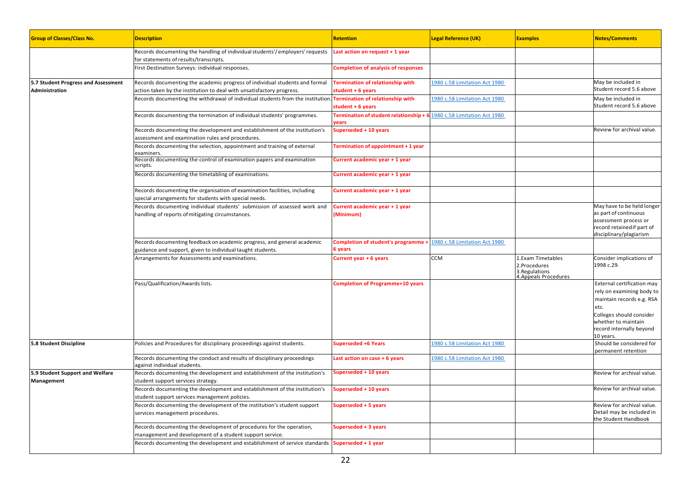| <b>Group of Classes/Class No.</b>                     | <b>Description</b>                                                                                                                                                                             | <b>Retention</b>                                              | <b>Legal Reference (UK)</b>   | <b>Examples</b>                                                              | <b>Notes/Comments</b>                                                                                                                                                                    |
|-------------------------------------------------------|------------------------------------------------------------------------------------------------------------------------------------------------------------------------------------------------|---------------------------------------------------------------|-------------------------------|------------------------------------------------------------------------------|------------------------------------------------------------------------------------------------------------------------------------------------------------------------------------------|
|                                                       | Records documenting the handling of individual students'/employers' requests<br>for statements of results/transcripts.                                                                         | Last action on request + 1 year                               |                               |                                                                              |                                                                                                                                                                                          |
|                                                       | First Destination Surveys: individual responses.                                                                                                                                               | <b>Completion of analysis of responses</b>                    |                               |                                                                              |                                                                                                                                                                                          |
| 5.7 Student Progress and Assessment<br>Administration | Records documenting the academic progress of individual students and formal<br>action taken by the institution to deal with unsatisfactory progress.                                           | <b>Termination of relationship with</b><br>student $+6$ years | 1980 c.58 Limitation Act 1980 |                                                                              | May be included in<br>Student record 5.6 above                                                                                                                                           |
|                                                       | Records documenting the withdrawal of individual students from the institution. Termination of relationship with                                                                               | student $+6$ years                                            | 1980 c.58 Limitation Act 1980 |                                                                              | May be included in<br>Student record 5.6 above                                                                                                                                           |
|                                                       | Records documenting the termination of individual students' programmes.                                                                                                                        | Termination of student relationship + 6<br>years              | 1980 c.58 Limitation Act 1980 |                                                                              |                                                                                                                                                                                          |
|                                                       | Records documenting the development and establishment of the institution's<br>assessment and examination rules and procedures.                                                                 | Superseded + 10 years                                         |                               |                                                                              | Review for archival value.                                                                                                                                                               |
|                                                       | Records documenting the selection, appointment and training of external<br>examiners.                                                                                                          | Termination of appointment + 1 year                           |                               |                                                                              |                                                                                                                                                                                          |
|                                                       | Records documenting the control of examination papers and examination<br>scripts.                                                                                                              | Current academic year + 1 year                                |                               |                                                                              |                                                                                                                                                                                          |
|                                                       | Records documenting the timetabling of examinations.                                                                                                                                           | Current academic year + 1 year                                |                               |                                                                              |                                                                                                                                                                                          |
|                                                       | Records documenting the organisation of examination facilities, including<br>special arrangements for students with special needs.                                                             | Current academic year + 1 year                                |                               |                                                                              |                                                                                                                                                                                          |
|                                                       | Records documenting individual students' submission of assessed work and<br>handling of reports of mitigating circumstances.                                                                   | Current academic year + 1 year<br>(Minimum)                   |                               |                                                                              | May have to be held longer<br>as part of continuous<br>assessment process or<br>record retainedif part of<br>disciplinary/plagiarism                                                     |
|                                                       | Records documenting feedback on academic progress, and general academic<br>guidance and support, given to individual taught students.                                                          | Completion of student's programme +<br>6 years                | 1980 c.58 Limitation Act 1980 |                                                                              |                                                                                                                                                                                          |
|                                                       | Arrangements for Assessments and examinations.                                                                                                                                                 | Current year + 6 years                                        | <b>CCM</b>                    | L.Exam Timetables<br>2.Procedures<br>3. Regulations<br>4. Appeals Procedures | Consider implications of<br>1998 c.29.                                                                                                                                                   |
|                                                       | Pass/Qualification/Awards lists.                                                                                                                                                               | <b>Completion of Programme+10 years</b>                       |                               |                                                                              | External certification may<br>rely on examining body to<br>maintain records e.g. RSA<br>etc.<br>Colleges should consider<br>whether to maintain<br>record internally beyond<br>10 years. |
| 5.8 Student Discipline                                | Policies and Procedures for disciplinary proceedings against students.                                                                                                                         | <b>Superseded +6 Years</b>                                    | 1980 c.58 Limitation Act 1980 |                                                                              | Should be considered for<br>permanent retention                                                                                                                                          |
|                                                       | Records documenting the conduct and results of disciplinary proceedings<br>against individual students.                                                                                        | Last action on case + 6 years                                 | 1980 c.58 Limitation Act 1980 |                                                                              |                                                                                                                                                                                          |
| 5.9 Student Support and Welfare<br>Management         | Records documenting the development and establishment of the institution's<br>student support services strategy.<br>Records documenting the development and establishment of the institution's | Superseded + 10 years                                         |                               |                                                                              | Review for archival value.<br>Review for archival value.                                                                                                                                 |
|                                                       | student support services management policies.                                                                                                                                                  | Superseded + 10 years                                         |                               |                                                                              |                                                                                                                                                                                          |
|                                                       | Records documenting the development of the institution's student support<br>services management procedures.                                                                                    | Superseded + 5 years                                          |                               |                                                                              | Review for archival value.<br>Detail may be included in<br>the Student Handbook                                                                                                          |
|                                                       | Records documenting the development of procedures for the operation,<br>management and development of a student support service.                                                               | Superseded + 3 years                                          |                               |                                                                              |                                                                                                                                                                                          |
|                                                       | Records documenting the development and establishment of service standards                                                                                                                     | Superseded + 1 year                                           |                               |                                                                              |                                                                                                                                                                                          |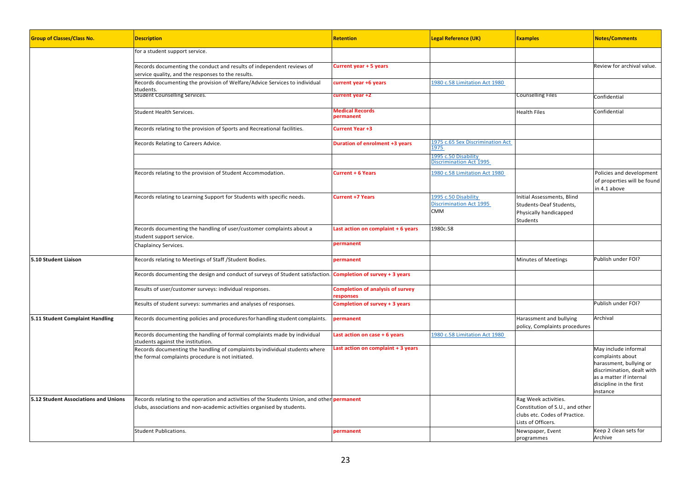| <b>Group of Classes/Class No.</b>    | <b>Description</b>                                                                                                                                                           | <b>Retention</b>                                     | <b>Legal Reference (UK)</b>                                          | <b>Examples</b>                                                                                                | <b>Notes/Comments</b>                                                                                                                                               |
|--------------------------------------|------------------------------------------------------------------------------------------------------------------------------------------------------------------------------|------------------------------------------------------|----------------------------------------------------------------------|----------------------------------------------------------------------------------------------------------------|---------------------------------------------------------------------------------------------------------------------------------------------------------------------|
|                                      | for a student support service.                                                                                                                                               |                                                      |                                                                      |                                                                                                                |                                                                                                                                                                     |
|                                      | Records documenting the conduct and results of independent reviews of<br>service quality, and the responses to the results.                                                  | Current year + 5 years                               |                                                                      |                                                                                                                | Review for archival value.                                                                                                                                          |
|                                      | Records documenting the provision of Welfare/Advice Services to individual<br>students.                                                                                      | current year +6 years                                | 1980 c.58 Limitation Act 1980                                        |                                                                                                                |                                                                                                                                                                     |
|                                      | <b>Student Counselling Services.</b>                                                                                                                                         | current year +2                                      |                                                                      | Counselling Files                                                                                              | Confidential                                                                                                                                                        |
|                                      | Student Health Services.                                                                                                                                                     | <b>Medical Records</b><br>permanent                  |                                                                      | Health Files                                                                                                   | Confidential                                                                                                                                                        |
|                                      | Records relating to the provision of Sports and Recreational facilities.                                                                                                     | Current Year +3                                      |                                                                      |                                                                                                                |                                                                                                                                                                     |
|                                      | Records Relating to Careers Advice.                                                                                                                                          | <b>Duration of enrolment +3 years</b>                | 1975 c.65 Sex Discrimination Act<br>1975                             |                                                                                                                |                                                                                                                                                                     |
|                                      |                                                                                                                                                                              |                                                      | 1995 c.50 Disability<br>Discrimination Act 1995                      |                                                                                                                |                                                                                                                                                                     |
|                                      | Records relating to the provision of Student Accommodation.                                                                                                                  | <b>Current + 6 Years</b>                             | 1980 c.58 Limitation Act 1980                                        |                                                                                                                | Policies and development<br>of properties will be found<br>in 4.1 above                                                                                             |
|                                      | Records relating to Learning Support for Students with specific needs.                                                                                                       | <b>Current +7 Years</b>                              | 1995 c.50 Disability<br><b>Discrimination Act 1995</b><br><b>CMM</b> | Initial Assessments, Blind<br>Students-Deaf Students,<br>Physically handicapped<br>Students                    |                                                                                                                                                                     |
|                                      | Records documenting the handling of user/customer complaints about a<br>student support service.                                                                             | Last action on complaint + 6 years                   | 1980c.58                                                             |                                                                                                                |                                                                                                                                                                     |
|                                      | Chaplaincy Services.                                                                                                                                                         | permanent                                            |                                                                      |                                                                                                                |                                                                                                                                                                     |
| 5.10 Student Liaison                 | Records relating to Meetings of Staff / Student Bodies.                                                                                                                      | permanent                                            |                                                                      | <b>Minutes of Meetings</b>                                                                                     | Publish under FOI?                                                                                                                                                  |
|                                      | Records documenting the design and conduct of surveys of Student satisfaction.                                                                                               | Completion of survey + 3 years                       |                                                                      |                                                                                                                |                                                                                                                                                                     |
|                                      | Results of user/customer surveys: individual responses.                                                                                                                      | <b>Completion of analysis of survey</b><br>responses |                                                                      |                                                                                                                |                                                                                                                                                                     |
|                                      | Results of student surveys: summaries and analyses of responses.                                                                                                             | Completion of survey + 3 years                       |                                                                      |                                                                                                                | Publish under FOI?                                                                                                                                                  |
| 5.11 Student Complaint Handling      | Records documenting policies and procedures for handling student complaints.                                                                                                 | permanent                                            |                                                                      | Harassment and bullying<br>policy, Complaints procedures                                                       | Archival                                                                                                                                                            |
|                                      | Records documenting the handling of formal complaints made by individual<br>students against the institution.                                                                | Last action on case + 6 years                        | 1980 c.58 Limitation Act 1980                                        |                                                                                                                |                                                                                                                                                                     |
|                                      | Records documenting the handling of complaints by individual students where<br>the formal complaints procedure is not initiated.                                             | Last action on complaint + 3 years                   |                                                                      |                                                                                                                | May include informal<br>complaints about<br>harassment, bullying or<br>discrimination, dealt with<br>as a matter if internal<br>discipline in the first<br>instance |
| 5.12 Student Associations and Unions | Records relating to the operation and activities of the Students Union, and other <b>permanent</b><br>clubs, associations and non-academic activities organised by students. |                                                      |                                                                      | Rag Week activities.<br>Constitution of S.U., and other<br>clubs etc. Codes of Practice.<br>Lists of Officers. |                                                                                                                                                                     |
|                                      | Student Publications.                                                                                                                                                        | permanent                                            |                                                                      | Newspaper, Event<br>programmes                                                                                 | Keep 2 clean sets for<br>Archive                                                                                                                                    |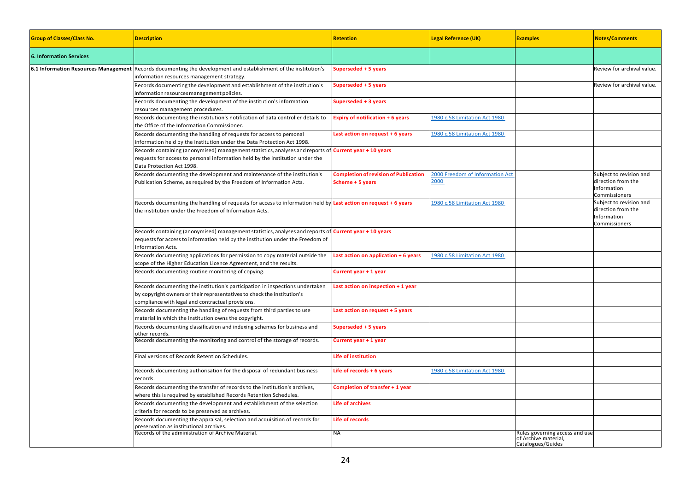| <b>Group of Classes/Class No.</b> | <b>Description</b>                                                                                                                                                                                                          | <b>Retention</b>                                                 | <b>Legal Reference (UK)</b>             | <b>Examples</b>                                                             | <b>Notes/Comments</b>                                                         |
|-----------------------------------|-----------------------------------------------------------------------------------------------------------------------------------------------------------------------------------------------------------------------------|------------------------------------------------------------------|-----------------------------------------|-----------------------------------------------------------------------------|-------------------------------------------------------------------------------|
| <b>6. Information Services</b>    |                                                                                                                                                                                                                             |                                                                  |                                         |                                                                             |                                                                               |
|                                   | 6.1 Information Resources Management Records documenting the development and establishment of the institution's<br>information resources management strategy.                                                               | Superseded + 5 years                                             |                                         |                                                                             | Review for archival value.                                                    |
|                                   | Records documenting the development and establishment of the institution's<br>information resources management policies.                                                                                                    | Superseded + 5 years                                             |                                         |                                                                             | Review for archival value.                                                    |
|                                   | Records documenting the development of the institution's information<br>resources management procedures.                                                                                                                    | Superseded + 3 years                                             |                                         |                                                                             |                                                                               |
|                                   | Records documenting the institution's notification of data controller details to<br>the Office of the Information Commissioner.                                                                                             | <b>Expiry of notification + 6 years</b>                          | 1980 c.58 Limitation Act 1980           |                                                                             |                                                                               |
|                                   | Records documenting the handling of requests for access to personal<br>information held by the institution under the Data Protection Act 1998.                                                                              | Last action on request + 6 years                                 | 1980 c.58 Limitation Act 1980           |                                                                             |                                                                               |
|                                   | Records containing (anonymised) management statistics, analyses and reports of <b>Current year + 10 years</b><br>requests for access to personal information held by the institution under the<br>Data Protection Act 1998. |                                                                  |                                         |                                                                             |                                                                               |
|                                   | Records documenting the development and maintenance of the institution's<br>Publication Scheme, as required by the Freedom of Information Acts.                                                                             | <b>Completion of revision of Publication</b><br>Scheme + 5 years | 2000 Freedom of Information Act<br>2000 |                                                                             | Subject to revision and<br>direction from the<br>Information<br>Commissioners |
|                                   | Records documenting the handling of requests for access to information held by Last action on request + 6 years<br>the institution under the Freedom of Information Acts.                                                   |                                                                  | 1980 c.58 Limitation Act 1980           |                                                                             | Subject to revision and<br>direction from the<br>Information<br>Commissioners |
|                                   | Records containing (anonymised) management statistics, analyses and reports of <b>Current year + 10 years</b><br>requests for access to information held by the institution under the Freedom of<br>Information Acts.       |                                                                  |                                         |                                                                             |                                                                               |
|                                   | Records documenting applications for permission to copy material outside the<br>scope of the Higher Education Licence Agreement, and the results.                                                                           | Last action on application + 6 years                             | 1980 c.58 Limitation Act 1980           |                                                                             |                                                                               |
|                                   | Records documenting routine monitoring of copying.                                                                                                                                                                          | Current year + 1 year                                            |                                         |                                                                             |                                                                               |
|                                   | Records documenting the institution's participation in inspections undertaken<br>by copyright owners or their representatives to check the institution's<br>compliance with legal and contractual provisions.               | Last action on inspection + 1 year                               |                                         |                                                                             |                                                                               |
|                                   | Records documenting the handling of requests from third parties to use<br>material in which the institution owns the copyright.                                                                                             | Last action on request + 5 years                                 |                                         |                                                                             |                                                                               |
|                                   | Records documenting classification and indexing schemes for business and<br>other records.<br>Records documenting the monitoring and control of the storage of records.                                                     | Superseded + 5 years<br>Current year + 1 year                    |                                         |                                                                             |                                                                               |
|                                   |                                                                                                                                                                                                                             |                                                                  |                                         |                                                                             |                                                                               |
|                                   | Final versions of Records Retention Schedules.                                                                                                                                                                              | Life of institution                                              |                                         |                                                                             |                                                                               |
|                                   | Records documenting authorisation for the disposal of redundant business<br>records.                                                                                                                                        | Life of records $+6$ years                                       | 1980 c.58 Limitation Act 1980           |                                                                             |                                                                               |
|                                   | Records documenting the transfer of records to the institution's archives,<br>where this is required by established Records Retention Schedules.                                                                            | Completion of transfer + 1 year                                  |                                         |                                                                             |                                                                               |
|                                   | Records documenting the development and establishment of the selection<br>criteria for records to be preserved as archives.                                                                                                 | <b>Life of archives</b>                                          |                                         |                                                                             |                                                                               |
|                                   | Records documenting the appraisal, selection and acquisition of records for<br>preservation as institutional archives.                                                                                                      | Life of records                                                  |                                         |                                                                             |                                                                               |
|                                   | Records of the administration of Archive Material.                                                                                                                                                                          | <b>NA</b>                                                        |                                         | Rules governing access and use<br>of Archive material,<br>Catalogues/Guides |                                                                               |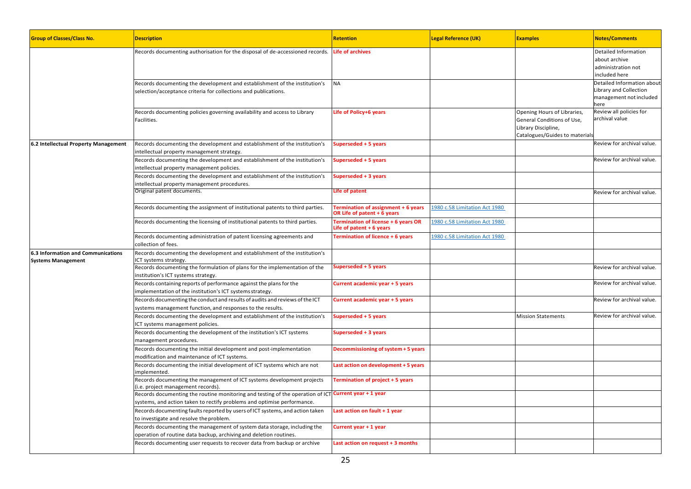| <b>Group of Classes/Class No.</b>                               | <b>Description</b>                                                                                                                                                              | <b>Retention</b>                                                     | <b>Legal Reference (UK)</b>   | <b>Examples</b>                                                                                                    | <b>Notes/Comments</b>                                                                   |
|-----------------------------------------------------------------|---------------------------------------------------------------------------------------------------------------------------------------------------------------------------------|----------------------------------------------------------------------|-------------------------------|--------------------------------------------------------------------------------------------------------------------|-----------------------------------------------------------------------------------------|
|                                                                 | Records documenting authorisation for the disposal of de-accessioned records.                                                                                                   | <b>Life of archives</b>                                              |                               |                                                                                                                    | Detailed Information<br>about archive<br>administration not<br>included here            |
|                                                                 | Records documenting the development and establishment of the institution's<br>selection/acceptance criteria for collections and publications.                                   | <b>NA</b>                                                            |                               |                                                                                                                    | Detailed Information about<br>Library and Collection<br>management not included<br>here |
|                                                                 | Records documenting policies governing availability and access to Library<br>Facilities.                                                                                        | Life of Policy+6 years                                               |                               | Opening Hours of Libraries,<br>General Conditions of Use,<br>Library Discipline,<br>Catalogues/Guides to materials | Review all policies for<br>archival value                                               |
| 6.2 Intellectual Property Management                            | Records documenting the development and establishment of the institution's<br>intellectual property management strategy.                                                        | Superseded + 5 years                                                 |                               |                                                                                                                    | Review for archival value.                                                              |
|                                                                 | Records documenting the development and establishment of the institution's<br>intellectual property management policies.                                                        | Superseded + 5 years                                                 |                               |                                                                                                                    | Review for archival value.                                                              |
|                                                                 | Records documenting the development and establishment of the institution's<br>intellectual property management procedures.                                                      | Superseded + 3 years                                                 |                               |                                                                                                                    |                                                                                         |
|                                                                 | Original patent documents.                                                                                                                                                      | Life of patent                                                       |                               |                                                                                                                    | Review for archival value.                                                              |
|                                                                 | Records documenting the assignment of institutional patents to third parties.                                                                                                   | Termination of assignment + 6 years<br>OR Life of patent $+$ 6 years | 1980 c.58 Limitation Act 1980 |                                                                                                                    |                                                                                         |
|                                                                 | Records documenting the licensing of institutional patents to third parties.                                                                                                    | Termination of license + 6 years OR<br>Life of patent $+6$ years     | 1980 c.58 Limitation Act 1980 |                                                                                                                    |                                                                                         |
|                                                                 | Records documenting administration of patent licensing agreements and<br>collection of fees.                                                                                    | <b>Termination of licence + 6 years</b>                              | 1980 c.58 Limitation Act 1980 |                                                                                                                    |                                                                                         |
| 6.3 Information and Communications<br><b>Systems Management</b> | Records documenting the development and establishment of the institution's<br>ICT systems strategy.                                                                             |                                                                      |                               |                                                                                                                    |                                                                                         |
|                                                                 | Records documenting the formulation of plans for the implementation of the<br>institution's ICT systems strategy.                                                               | Superseded + 5 years                                                 |                               |                                                                                                                    | Review for archival value.                                                              |
|                                                                 | Records containing reports of performance against the plans for the<br>implementation of the institution's ICT systems strategy.                                                | Current academic year + 5 years                                      |                               |                                                                                                                    | Review for archival value.                                                              |
|                                                                 | Records documenting the conduct and results of audits and reviews of the ICT<br>systems management function, and responses to the results.                                      | Current academic year + 5 years                                      |                               |                                                                                                                    | Review for archival value.                                                              |
|                                                                 | Records documenting the development and establishment of the institution's<br>ICT systems management policies.                                                                  | Superseded + 5 years                                                 |                               | <b>Mission Statements</b>                                                                                          | Review for archival value.                                                              |
|                                                                 | Records documenting the development of the institution's ICT systems<br>management procedures.                                                                                  | Superseded + 3 years                                                 |                               |                                                                                                                    |                                                                                         |
|                                                                 | Records documenting the initial development and post-implementation<br>modification and maintenance of ICT systems.                                                             | Decommissioning of system + 5 years                                  |                               |                                                                                                                    |                                                                                         |
|                                                                 | Records documenting the initial development of ICT systems which are not<br>implemented.                                                                                        | Last action on development + 5 years                                 |                               |                                                                                                                    |                                                                                         |
|                                                                 | Records documenting the management of ICT systems development projects<br>(i.e. project management records).                                                                    | Termination of project + 5 years                                     |                               |                                                                                                                    |                                                                                         |
|                                                                 | Records documenting the routine monitoring and testing of the operation of ICT Current year + 1 year<br>systems, and action taken to rectify problems and optimise performance. |                                                                      |                               |                                                                                                                    |                                                                                         |
|                                                                 | Records documenting faults reported by users of ICT systems, and action taken<br>to investigate and resolve the problem.                                                        | Last action on fault + 1 year                                        |                               |                                                                                                                    |                                                                                         |
|                                                                 | Records documenting the management of system data storage, including the<br>operation of routine data backup, archiving and deletion routines.                                  | Current year + 1 year                                                |                               |                                                                                                                    |                                                                                         |
|                                                                 | Records documenting user requests to recover data from backup or archive                                                                                                        | Last action on request + 3 months                                    |                               |                                                                                                                    |                                                                                         |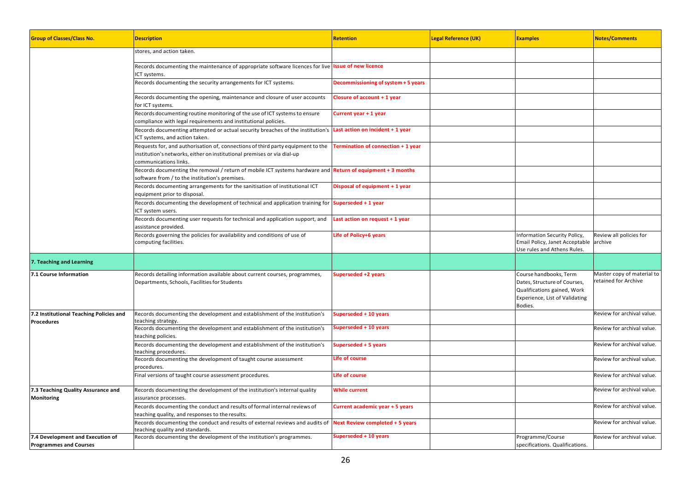| <b>Group of Classes/Class No.</b>                                 | <b>Description</b>                                                                                                                                                                                                            | <b>Retention</b>                    | <b>Legal Reference (UK)</b> | <b>Examples</b>                                                                                                                    | <b>Notes/Comments</b>                              |
|-------------------------------------------------------------------|-------------------------------------------------------------------------------------------------------------------------------------------------------------------------------------------------------------------------------|-------------------------------------|-----------------------------|------------------------------------------------------------------------------------------------------------------------------------|----------------------------------------------------|
|                                                                   | stores, and action taken.                                                                                                                                                                                                     |                                     |                             |                                                                                                                                    |                                                    |
|                                                                   | Records documenting the maintenance of appropriate software licences for live Issue of new licence<br>CT systems.                                                                                                             |                                     |                             |                                                                                                                                    |                                                    |
|                                                                   | Records documenting the security arrangements for ICT systems.                                                                                                                                                                | Decommissioning of system + 5 years |                             |                                                                                                                                    |                                                    |
|                                                                   | Records documenting the opening, maintenance and closure of user accounts<br>for ICT systems.                                                                                                                                 | Closure of account + 1 year         |                             |                                                                                                                                    |                                                    |
|                                                                   | Records documenting routine monitoring of the use of ICT systems to ensure<br>compliance with legal requirements and institutional policies.                                                                                  | Current year + 1 year               |                             |                                                                                                                                    |                                                    |
|                                                                   | Records documenting attempted or actual security breaches of the institution's <b>Last action on incident + 1 year</b><br>ICT systems, and action taken.                                                                      |                                     |                             |                                                                                                                                    |                                                    |
|                                                                   | Requests for, and authorisation of, connections of third party equipment to the <b>Termination of connection + 1 year</b><br>institution's networks, either on institutional premises or via dial-up<br>communications links. |                                     |                             |                                                                                                                                    |                                                    |
|                                                                   | Records documenting the removal / return of mobile ICT systems hardware and Return of equipment + 3 months<br>software from / to the institution's premises.                                                                  |                                     |                             |                                                                                                                                    |                                                    |
|                                                                   | Records documenting arrangements for the sanitisation of institutional ICT<br>equipment prior to disposal.                                                                                                                    | Disposal of equipment + 1 year      |                             |                                                                                                                                    |                                                    |
|                                                                   | Records documenting the development of technical and application training for Superseded + 1 year<br>ICT system users.                                                                                                        |                                     |                             |                                                                                                                                    |                                                    |
|                                                                   | Records documenting user requests for technical and application support, and<br>assistance provided.                                                                                                                          | Last action on request + 1 year     |                             |                                                                                                                                    |                                                    |
|                                                                   | Records governing the policies for availability and conditions of use of<br>computing facilities.                                                                                                                             | Life of Policy+6 years              |                             | Information Security Policy,<br>Email Policy, Janet Acceptable<br>Use rules and Athens Rules.                                      | Review all policies for<br>archive                 |
| 7. Teaching and Learning                                          |                                                                                                                                                                                                                               |                                     |                             |                                                                                                                                    |                                                    |
| 7.1 Course Information                                            | Records detailing information available about current courses, programmes,<br>Departments, Schools, Facilities for Students                                                                                                   | Superseded +2 years                 |                             | Course handbooks, Term<br>Dates, Structure of Courses,<br>Qualifications gained, Work<br>Experience, List of Validating<br>Bodies. | Master copy of material to<br>retained for Archive |
| 7.2 Institutional Teaching Policies and<br><b>Procedures</b>      | Records documenting the development and establishment of the institution's<br>teaching strategy.                                                                                                                              | Superseded + 10 years               |                             |                                                                                                                                    | Review for archival value.                         |
|                                                                   | Records documenting the development and establishment of the institution's<br>teaching policies.                                                                                                                              | Superseded + 10 years               |                             |                                                                                                                                    | Review for archival value.                         |
|                                                                   | Records documenting the development and establishment of the institution's<br>teaching procedures.                                                                                                                            | Superseded + 5 years                |                             |                                                                                                                                    | Review for archival value.                         |
|                                                                   | Records documenting the development of taught course assessment<br>procedures.                                                                                                                                                | <b>Life of course</b>               |                             |                                                                                                                                    | Review for archival value.                         |
|                                                                   | Final versions of taught course assessment procedures.                                                                                                                                                                        | Life of course                      |                             |                                                                                                                                    | Review for archival value.                         |
| 7.3 Teaching Quality Assurance and<br>Monitoring                  | Records documenting the development of the institution's internal quality<br>assurance processes.                                                                                                                             | <b>While current</b>                |                             |                                                                                                                                    | Review for archival value.                         |
|                                                                   | Records documenting the conduct and results of formal internal reviews of<br>teaching quality, and responses to the results.                                                                                                  | Current academic year + 5 years     |                             |                                                                                                                                    | Review for archival value.                         |
|                                                                   | Records documenting the conduct and results of external reviews and audits of Next Review completed + 5 years<br>eaching quality and standards.                                                                               |                                     |                             |                                                                                                                                    | Review for archival value.                         |
| 7.4 Development and Execution of<br><b>Programmes and Courses</b> | Records documenting the development of the institution's programmes.                                                                                                                                                          | Superseded + 10 years               |                             | Programme/Course<br>specifications. Qualifications.                                                                                | Review for archival value.                         |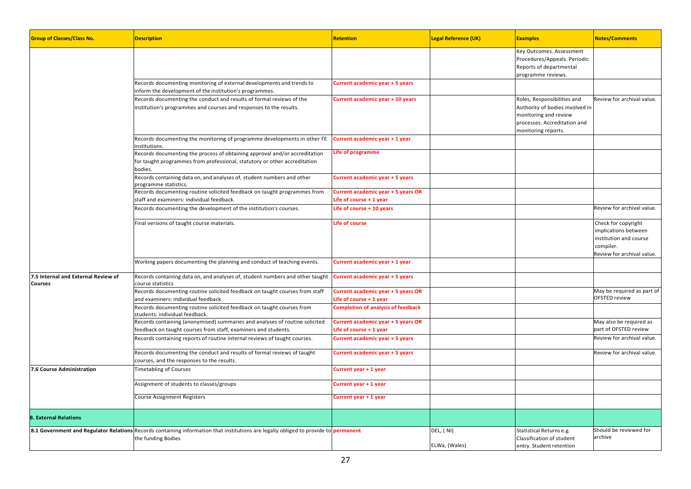| <b>Group of Classes/Class No.</b>                     | <b>Description</b>                                                                                                                                                 | <b>Retention</b>                                              | <b>Legal Reference (UK)</b> | <b>Examples</b>                                                                                                                                | <b>Notes/Comments</b>                                                                                           |
|-------------------------------------------------------|--------------------------------------------------------------------------------------------------------------------------------------------------------------------|---------------------------------------------------------------|-----------------------------|------------------------------------------------------------------------------------------------------------------------------------------------|-----------------------------------------------------------------------------------------------------------------|
|                                                       |                                                                                                                                                                    |                                                               |                             | Key Outcomes. Assessment<br>Procedures/Appeals. Periodic<br>Reports of departmental<br>programme reviews.                                      |                                                                                                                 |
|                                                       | Records documenting monitoring of external developments and trends to<br>inform the development of the institution's programmes.                                   | Current academic year + 5 years                               |                             |                                                                                                                                                |                                                                                                                 |
|                                                       | Records documenting the conduct and results of formal reviews of the<br>nstitution's programmes and courses and responses to the results.                          | Current academic year + 10 years                              |                             | Roles, Responsibilities and<br>Authority of bodies involved in<br>monitoring and review<br>processes. Accreditation and<br>monitoring reports. | Review for archival value.                                                                                      |
|                                                       | Records documenting the monitoring of programme developments in other FE<br>nstitutions.                                                                           | Current academic year + 1 year                                |                             |                                                                                                                                                |                                                                                                                 |
|                                                       | Records documenting the process of obtaining approval and/or accreditation<br>for taught programmes from professional, statutory or other accreditation<br>oodies. | Life of programme                                             |                             |                                                                                                                                                |                                                                                                                 |
|                                                       | Records containing data on, and analyses of, student numbers and other<br>programme statistics.                                                                    | Current academic year + 5 years                               |                             |                                                                                                                                                |                                                                                                                 |
|                                                       | Records documenting routine solicited feedback on taught programmes from                                                                                           | Current academic year + 5 years OR                            |                             |                                                                                                                                                |                                                                                                                 |
|                                                       | staff and examiners: individual feedback.                                                                                                                          | Life of course $+1$ year                                      |                             |                                                                                                                                                |                                                                                                                 |
|                                                       | Records documenting the development of the institution's courses.                                                                                                  | Life of course + 10 years                                     |                             |                                                                                                                                                | Review for archival value.                                                                                      |
|                                                       | Final versions of taught course materials.                                                                                                                         | <b>Life of course</b>                                         |                             |                                                                                                                                                | Check for copyright<br>mplications between<br>institution and course<br>compiler.<br>Review for archival value. |
|                                                       | Working papers documenting the planning and conduct of teaching events.                                                                                            | Current academic year + 1 year                                |                             |                                                                                                                                                |                                                                                                                 |
| 7.5 Internal and External Review of<br><b>Courses</b> | Records containing data on, and analyses of, student numbers and other taught<br>course statistics                                                                 | Current academic year + 5 years                               |                             |                                                                                                                                                |                                                                                                                 |
|                                                       | Records documenting routine solicited feedback on taught courses from staff<br>and examiners: individual feedback.                                                 | Current academic year + 5 years OR<br>Life of course + 1 year |                             |                                                                                                                                                | May be required as part of<br><b>OFSTED review</b>                                                              |
|                                                       | Records documenting routine solicited feedback on taught courses from<br>students: individual feedback.                                                            | <b>Completion of analysis of feedback</b>                     |                             |                                                                                                                                                |                                                                                                                 |
|                                                       | Records containing (anonymised) summaries and analyses of routine solicited<br>eedback on taught courses from staff, examiners and students.                       | Current academic year + 5 years OR<br>Life of course + 1 year |                             |                                                                                                                                                | May also be required as<br>part of OFSTED review                                                                |
|                                                       | Records containing reports of routine internal reviews of taught courses.                                                                                          | Current academic year + 5 years                               |                             |                                                                                                                                                | Review for archival value.                                                                                      |
|                                                       | Records documenting the conduct and results of formal reviews of taught<br>courses, and the responses to the results.                                              | Current academic year + 5 years                               |                             |                                                                                                                                                | Review for archival value.                                                                                      |
| 7.6 Course Administration                             | <b>Timetabling of Courses</b>                                                                                                                                      | Current year + 1 year                                         |                             |                                                                                                                                                |                                                                                                                 |
|                                                       | Assignment of students to classes/groups                                                                                                                           | Current year + 1 year                                         |                             |                                                                                                                                                |                                                                                                                 |
|                                                       | Course Assignment Registers                                                                                                                                        | Current year + 1 year                                         |                             |                                                                                                                                                |                                                                                                                 |
| <b>8. External Relations</b>                          |                                                                                                                                                                    |                                                               |                             |                                                                                                                                                |                                                                                                                 |
|                                                       | 8.1 Government and Regulator Relations Records containing information that institutions are legally obliged to provide to permanent<br>the funding Bodies          |                                                               | DEL, (NI)<br>ELWa, (Wales)  | Statistical Returns e.g.<br>Classification of student<br>entry. Student retention                                                              | Should be reviewed for<br>archive                                                                               |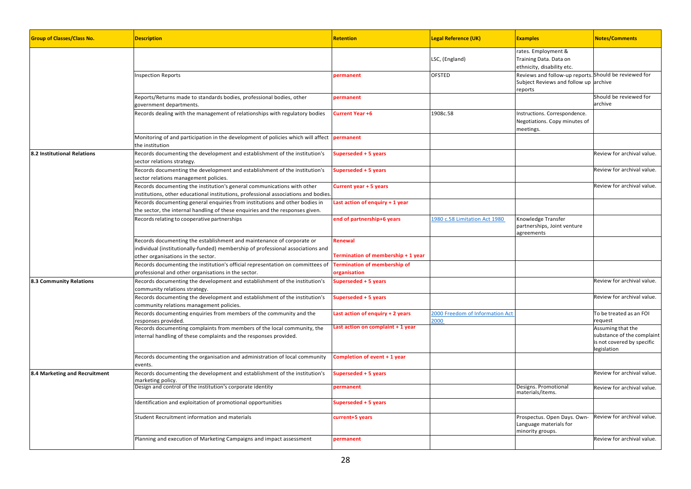| <b>Group of Classes/Class No.</b> | <b>Description</b>                                                                                                                                                                             | <b>Retention</b>                                    | <b>Legal Reference (UK)</b>             | <b>Examples</b>                                                                                           | <b>Notes/Comments</b>                                                                        |
|-----------------------------------|------------------------------------------------------------------------------------------------------------------------------------------------------------------------------------------------|-----------------------------------------------------|-----------------------------------------|-----------------------------------------------------------------------------------------------------------|----------------------------------------------------------------------------------------------|
|                                   |                                                                                                                                                                                                |                                                     | LSC, (England)                          | rates. Employment &<br>Training Data. Data on<br>ethnicity, disability etc.                               |                                                                                              |
|                                   | <b>Inspection Reports</b>                                                                                                                                                                      | permanent                                           | <b>OFSTED</b>                           | Reviews and follow-up reports. Should be reviewed for<br>Subject Reviews and follow up archive<br>reports |                                                                                              |
|                                   | Reports/Returns made to standards bodies, professional bodies, other<br>government departments.                                                                                                | permanent                                           |                                         |                                                                                                           | Should be reviewed for<br>archive                                                            |
|                                   | Records dealing with the management of relationships with regulatory bodies                                                                                                                    | Current Year +6                                     | 1908c.58                                | Instructions. Correspondence.<br>Negotiations. Copy minutes of<br>meetings.                               |                                                                                              |
|                                   | Monitoring of and participation in the development of policies which will affect<br>the institution                                                                                            | permanent                                           |                                         |                                                                                                           |                                                                                              |
| 8.2 Institutional Relations       | Records documenting the development and establishment of the institution's<br>sector relations strategy.                                                                                       | Superseded + 5 years                                |                                         |                                                                                                           | Review for archival value.                                                                   |
|                                   | Records documenting the development and establishment of the institution's<br>sector relations management policies.                                                                            | Superseded + 5 years                                |                                         |                                                                                                           | Review for archival value.                                                                   |
|                                   | Records documenting the institution's general communications with other<br>institutions, other educational institutions, professional associations and bodies.                                 | Current year + 5 years                              |                                         |                                                                                                           | Review for archival value.                                                                   |
|                                   | Records documenting general enquiries from institutions and other bodies in<br>the sector, the internal handling of these enquiries and the responses given.                                   | Last action of enquiry + 1 year                     |                                         |                                                                                                           |                                                                                              |
|                                   | Records relating to cooperative partnerships                                                                                                                                                   | end of partnership+6 years                          | 1980 c.58 Limitation Act 1980           | Knowledge Transfer<br>partnerships, Joint venture<br>agreements                                           |                                                                                              |
|                                   | Records documenting the establishment and maintenance of corporate or<br>individual (institutionally-funded) membership of professional associations and<br>other organisations in the sector. | Renewal<br>Termination of membership + 1 year       |                                         |                                                                                                           |                                                                                              |
|                                   | Records documenting the institution's official representation on committees of<br>professional and other organisations in the sector.                                                          | <b>Termination of membership of</b><br>organisation |                                         |                                                                                                           |                                                                                              |
| 8.3 Community Relations           | Records documenting the development and establishment of the institution's<br>community relations strategy.                                                                                    | Superseded + 5 years                                |                                         |                                                                                                           | Review for archival value.                                                                   |
|                                   | Records documenting the development and establishment of the institution's<br>community relations management policies.                                                                         | Superseded + 5 years                                |                                         |                                                                                                           | Review for archival value.                                                                   |
|                                   | Records documenting enquiries from members of the community and the<br>esponses provided.                                                                                                      | Last action of enquiry + 2 years                    | 2000 Freedom of Information Act<br>2000 |                                                                                                           | To be treated as an FOI<br>request                                                           |
|                                   | Records documenting complaints from members of the local community, the<br>internal handling of these complaints and the responses provided.                                                   | Last action on complaint + 1 year                   |                                         |                                                                                                           | Assuming that the<br>substance of the complaint<br>is not covered by specific<br>legislation |
|                                   | Records documenting the organisation and administration of local community<br>events.                                                                                                          | Completion of event + 1 year                        |                                         |                                                                                                           |                                                                                              |
| 8.4 Marketing and Recruitment     | Records documenting the development and establishment of the institution's<br>marketing policy.                                                                                                | Superseded + 5 years                                |                                         |                                                                                                           | Review for archival value.                                                                   |
|                                   | Design and control of the institution's corporate identity                                                                                                                                     | permanent                                           |                                         | Designs. Promotional<br>materials/items.                                                                  | Review for archival value.                                                                   |
|                                   | Identification and exploitation of promotional opportunities                                                                                                                                   | Superseded + 5 years                                |                                         |                                                                                                           |                                                                                              |
|                                   | Student Recruitment information and materials                                                                                                                                                  | current+5 years                                     |                                         | Prospectus. Open Days. Own-<br>Language materials for<br>minority groups.                                 | Review for archival value.                                                                   |
|                                   | Planning and execution of Marketing Campaigns and impact assessment                                                                                                                            | permanent                                           |                                         |                                                                                                           | Review for archival value.                                                                   |